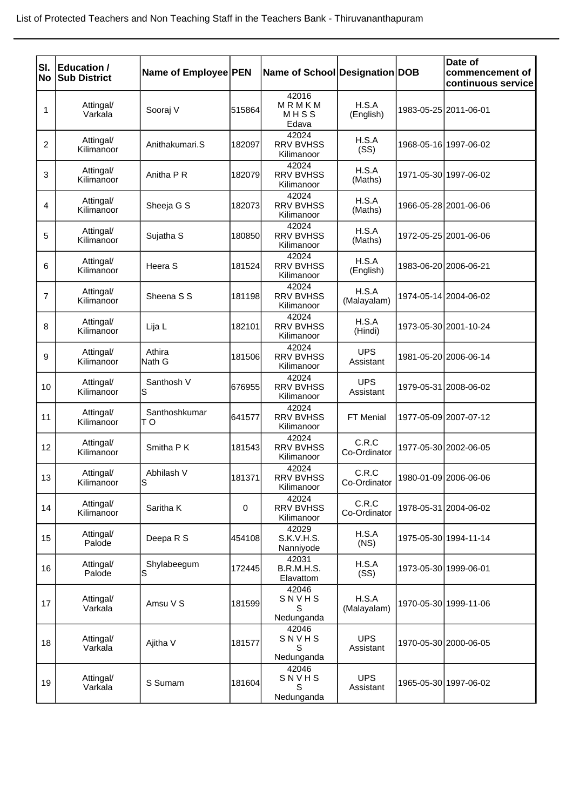| SI.            | <b>Education /</b>      |                      |             |                                         |                         | Date of                               |
|----------------|-------------------------|----------------------|-------------|-----------------------------------------|-------------------------|---------------------------------------|
| No             | <b>Sub District</b>     | Name of Employee PEN |             | Name of School Designation DOB          |                         | commencement of<br>continuous service |
| 1              | Attingal/<br>Varkala    | Sooraj V             | 515864      | 42016<br>MRMKM<br>MHSS<br>Edava         | H.S.A<br>(English)      | 1983-05-25 2011-06-01                 |
| 2              | Attingal/<br>Kilimanoor | Anithakumari.S       | 182097      | 42024<br><b>RRV BVHSS</b><br>Kilimanoor | H.S.A<br>(SS)           | 1968-05-16 1997-06-02                 |
| 3              | Attingal/<br>Kilimanoor | Anitha P R           | 182079      | 42024<br><b>RRV BVHSS</b><br>Kilimanoor | H.S.A<br>(Maths)        | 1971-05-30 1997-06-02                 |
| 4              | Attingal/<br>Kilimanoor | Sheeja G S           | 182073      | 42024<br><b>RRV BVHSS</b><br>Kilimanoor | H.S.A<br>(Maths)        | 1966-05-28 2001-06-06                 |
| 5              | Attingal/<br>Kilimanoor | Sujatha <sub>S</sub> | 180850      | 42024<br><b>RRV BVHSS</b><br>Kilimanoor | H.S.A<br>(Maths)        | 1972-05-25 2001-06-06                 |
| 6              | Attingal/<br>Kilimanoor | Heera S              | 181524      | 42024<br><b>RRV BVHSS</b><br>Kilimanoor | H.S.A<br>(English)      | 1983-06-20 2006-06-21                 |
| $\overline{7}$ | Attingal/<br>Kilimanoor | Sheena S S           | 181198      | 42024<br><b>RRV BVHSS</b><br>Kilimanoor | H.S.A<br>(Malayalam)    | 1974-05-14 2004-06-02                 |
| 8              | Attingal/<br>Kilimanoor | Lija L               | 182101      | 42024<br><b>RRV BVHSS</b><br>Kilimanoor | H.S.A<br>(Hindi)        | 1973-05-30 2001-10-24                 |
| 9              | Attingal/<br>Kilimanoor | Athira<br>Nath G     | 181506      | 42024<br><b>RRV BVHSS</b><br>Kilimanoor | <b>UPS</b><br>Assistant | 1981-05-20 2006-06-14                 |
| 10             | Attingal/<br>Kilimanoor | Santhosh V<br>S      | 676955      | 42024<br><b>RRV BVHSS</b><br>Kilimanoor | <b>UPS</b><br>Assistant | 1979-05-31 2008-06-02                 |
| 11             | Attingal/<br>Kilimanoor | Santhoshkumar<br>TО  | 641577      | 42024<br><b>RRV BVHSS</b><br>Kilimanoor | FT Menial               | 1977-05-09 2007-07-12                 |
| 12             | Attingal/<br>Kilimanoor | Smitha P K           | 181543      | 42024<br><b>RRV BVHSS</b><br>Kilimanoor | C.R.C<br>Co-Ordinator   | 1977-05-30 2002-06-05                 |
| 13             | Attingal/<br>Kilimanoor | Abhilash V<br>S      | 181371      | 42024<br><b>RRV BVHSS</b><br>Kilimanoor | C.R.C<br>Co-Ordinator   | 1980-01-09 2006-06-06                 |
| 14             | Attingal/<br>Kilimanoor | Saritha K            | $\mathbf 0$ | 42024<br><b>RRV BVHSS</b><br>Kilimanoor | C.R.C<br>Co-Ordinator   | 1978-05-31 2004-06-02                 |
| 15             | Attingal/<br>Palode     | Deepa R S            | 454108      | 42029<br>S.K.V.H.S.<br>Nanniyode        | H.S.A<br>(NS)           | 1975-05-30 1994-11-14                 |
| 16             | Attingal/<br>Palode     | Shylabeegum<br>S     | 172445      | 42031<br>B.R.M.H.S.<br>Elavattom        | H.S.A<br>(SS)           | 1973-05-30 1999-06-01                 |
| 17             | Attingal/<br>Varkala    | Amsu V S             | 181599      | 42046<br>SNVHS<br>S<br>Nedunganda       | H.S.A<br>(Malayalam)    | 1970-05-30 1999-11-06                 |
| 18             | Attingal/<br>Varkala    | Ajitha V             | 181577      | 42046<br>SNVHS<br>S<br>Nedunganda       | <b>UPS</b><br>Assistant | 1970-05-30 2000-06-05                 |
| 19             | Attingal/<br>Varkala    | S Sumam              | 181604      | 42046<br>SNVHS<br>S<br>Nedunganda       | <b>UPS</b><br>Assistant | 1965-05-30 1997-06-02                 |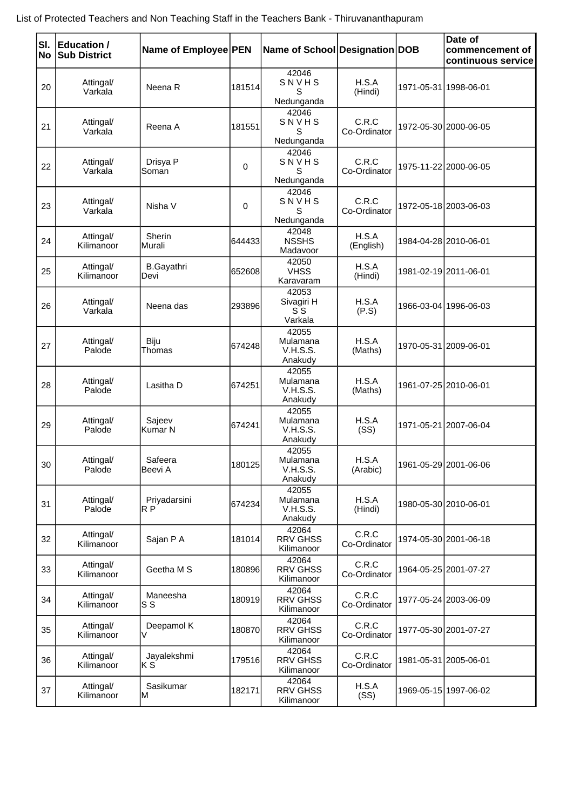| List of Protected Teachers and Non Teaching Staff in the Teachers Bank - Thiruvananthapuram |  |
|---------------------------------------------------------------------------------------------|--|
|---------------------------------------------------------------------------------------------|--|

| SI.<br> No | <b>Education /</b><br><b>Sub District</b> | Name of Employee PEN           |        | Name of School Designation DOB                  |                       | Date of<br>commencement of<br>continuous service |
|------------|-------------------------------------------|--------------------------------|--------|-------------------------------------------------|-----------------------|--------------------------------------------------|
| 20         | Attingal/<br>Varkala                      | Neena R                        | 181514 | 42046<br>SNVHS<br>S<br>Nedunganda               | H.S.A<br>(Hindi)      | 1971-05-31 1998-06-01                            |
| 21         | Attingal/<br>Varkala                      | Reena A                        | 181551 | 42046<br>SNVHS<br>S<br>Nedunganda               | C.R.C<br>Co-Ordinator | 1972-05-30 2000-06-05                            |
| 22         | Attingal/<br>Varkala                      | Drisya P<br>Soman              | 0      | 42046<br>SNVHS<br>S<br>Nedunganda               | C.R.C<br>Co-Ordinator | 1975-11-22 2000-06-05                            |
| 23         | Attingal/<br>Varkala                      | Nisha V                        | 0      | 42046<br>SNVHS<br>S<br>Nedunganda               | C.R.C<br>Co-Ordinator | 1972-05-18 2003-06-03                            |
| 24         | Attingal/<br>Kilimanoor                   | Sherin<br>Murali               | 644433 | 42048<br><b>NSSHS</b><br>Madavoor               | H.S.A<br>(English)    | 1984-04-28 2010-06-01                            |
| 25         | Attingal/<br>Kilimanoor                   | <b>B.Gayathri</b><br>Devi      | 652608 | 42050<br><b>VHSS</b><br>Karavaram               | H.S.A<br>(Hindi)      | 1981-02-19 2011-06-01                            |
| 26         | Attingal/<br>Varkala                      | Neena das                      | 293896 | 42053<br>Sivagiri H<br>S S<br>Varkala           | H.S.A<br>(P.S)        | 1966-03-04 1996-06-03                            |
| 27         | Attingal/<br>Palode                       | Biju<br>Thomas                 | 674248 | 42055<br>Mulamana<br><b>V.H.S.S.</b><br>Anakudy | H.S.A<br>(Maths)      | 1970-05-31 2009-06-01                            |
| 28         | Attingal/<br>Palode                       | Lasitha D                      | 674251 | 42055<br>Mulamana<br>V.H.S.S.<br>Anakudy        | H.S.A<br>(Maths)      | 1961-07-25 2010-06-01                            |
| 29         | Attingal/<br>Palode                       | Sajeev<br>Kumar N              | 674241 | 42055<br>Mulamana<br><b>V.H.S.S.</b><br>Anakudy | H.S.A<br>(SS)         | 1971-05-21 2007-06-04                            |
| 30         | Attingal/<br>Palode                       | Safeera<br>Beevi A             | 180125 | 42055<br>Mulamana<br><b>V.H.S.S.</b><br>Anakudy | H.S.A<br>(Arabic)     | 1961-05-29 2001-06-06                            |
| 31         | Attingal/<br>Palode                       | Priyadarsini<br>R <sub>P</sub> | 674234 | 42055<br>Mulamana<br><b>V.H.S.S.</b><br>Anakudy | H.S.A<br>(Hindi)      | 1980-05-30 2010-06-01                            |
| 32         | Attingal/<br>Kilimanoor                   | Sajan P A                      | 181014 | 42064<br><b>RRV GHSS</b><br>Kilimanoor          | C.R.C<br>Co-Ordinator | 1974-05-30 2001-06-18                            |
| 33         | Attingal/<br>Kilimanoor                   | Geetha M S                     | 180896 | 42064<br><b>RRV GHSS</b><br>Kilimanoor          | C.R.C<br>Co-Ordinator | 1964-05-25 2001-07-27                            |
| 34         | Attingal/<br>Kilimanoor                   | Maneesha<br>S S                | 180919 | 42064<br><b>RRV GHSS</b><br>Kilimanoor          | C.R.C<br>Co-Ordinator | 1977-05-24 2003-06-09                            |
| 35         | Attingal/<br>Kilimanoor                   | Deepamol K<br>V                | 180870 | 42064<br><b>RRV GHSS</b><br>Kilimanoor          | C.R.C<br>Co-Ordinator | 1977-05-30 2001-07-27                            |
| 36         | Attingal/<br>Kilimanoor                   | Jayalekshmi<br>ΚS              | 179516 | 42064<br><b>RRV GHSS</b><br>Kilimanoor          | C.R.C<br>Co-Ordinator | 1981-05-31 2005-06-01                            |
| 37         | Attingal/<br>Kilimanoor                   | Sasikumar<br>М                 | 182171 | 42064<br><b>RRV GHSS</b><br>Kilimanoor          | H.S.A<br>(SS)         | 1969-05-15 1997-06-02                            |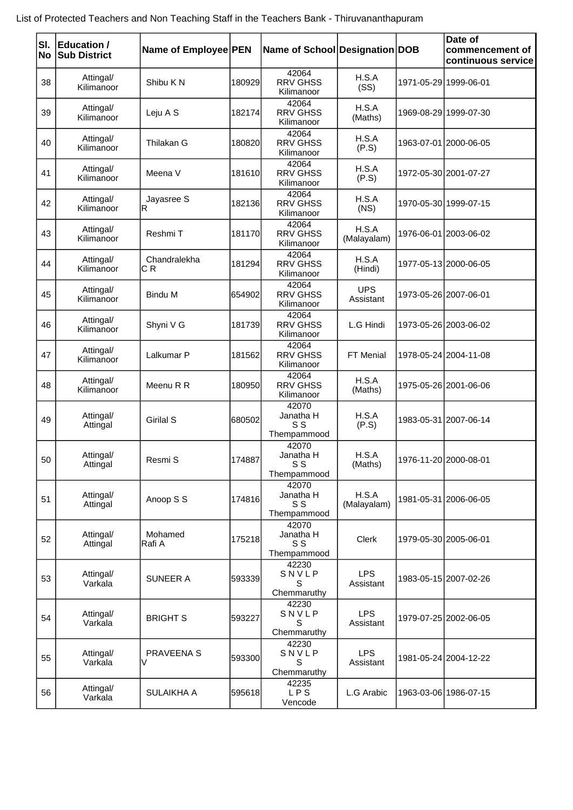| List of Protected Teachers and Non Teaching Staff in the Teachers Bank - Thiruvananthapuram |  |
|---------------------------------------------------------------------------------------------|--|
|---------------------------------------------------------------------------------------------|--|

| SI. | Education /             | Name of Employee PEN |        | Name of School Designation DOB           |                         |                       | Date of<br>commencement of |
|-----|-------------------------|----------------------|--------|------------------------------------------|-------------------------|-----------------------|----------------------------|
| No  | <b>Sub District</b>     |                      |        |                                          |                         |                       | continuous service         |
| 38  | Attingal/<br>Kilimanoor | Shibu K N            | 180929 | 42064<br><b>RRV GHSS</b><br>Kilimanoor   | H.S.A<br>(SS)           | 1971-05-29 1999-06-01 |                            |
| 39  | Attingal/<br>Kilimanoor | Leju A S             | 182174 | 42064<br><b>RRV GHSS</b><br>Kilimanoor   | H.S.A<br>(Maths)        |                       | 1969-08-29 1999-07-30      |
| 40  | Attingal/<br>Kilimanoor | Thilakan G           | 180820 | 42064<br><b>RRV GHSS</b><br>Kilimanoor   | H.S.A<br>(P.S)          |                       | 1963-07-01 2000-06-05      |
| 41  | Attingal/<br>Kilimanoor | Meena V              | 181610 | 42064<br><b>RRV GHSS</b><br>Kilimanoor   | H.S.A<br>(P.S)          |                       | 1972-05-30 2001-07-27      |
| 42  | Attingal/<br>Kilimanoor | Jayasree S<br>R      | 182136 | 42064<br><b>RRV GHSS</b><br>Kilimanoor   | H.S.A<br>(NS)           |                       | 1970-05-30 1999-07-15      |
| 43  | Attingal/<br>Kilimanoor | Reshmi T             | 181170 | 42064<br><b>RRV GHSS</b><br>Kilimanoor   | H.S.A<br>(Malayalam)    |                       | 1976-06-01 2003-06-02      |
| 44  | Attingal/<br>Kilimanoor | Chandralekha<br>C R  | 181294 | 42064<br><b>RRV GHSS</b><br>Kilimanoor   | H.S.A<br>(Hindi)        |                       | 1977-05-13 2000-06-05      |
| 45  | Attingal/<br>Kilimanoor | <b>Bindu M</b>       | 654902 | 42064<br><b>RRV GHSS</b><br>Kilimanoor   | <b>UPS</b><br>Assistant |                       | 1973-05-26 2007-06-01      |
| 46  | Attingal/<br>Kilimanoor | Shyni V G            | 181739 | 42064<br><b>RRV GHSS</b><br>Kilimanoor   | L.G Hindi               |                       | 1973-05-26 2003-06-02      |
| 47  | Attingal/<br>Kilimanoor | Lalkumar P           | 181562 | 42064<br><b>RRV GHSS</b><br>Kilimanoor   | FT Menial               |                       | 1978-05-24 2004-11-08      |
| 48  | Attingal/<br>Kilimanoor | Meenu R R            | 180950 | 42064<br><b>RRV GHSS</b><br>Kilimanoor   | H.S.A<br>(Maths)        |                       | 1975-05-26 2001-06-06      |
| 49  | Attingal/<br>Attingal   | <b>Girilal S</b>     | 680502 | 42070<br>Janatha H<br>S S<br>Thempammood | H.S.A<br>(P.S)          |                       | 1983-05-31 2007-06-14      |
| 50  | Attingal/<br>Attingal   | Resmi S              | 174887 | 42070<br>Janatha H<br>S S<br>Thempammood | H.S.A<br>(Maths)        |                       | 1976-11-20 2000-08-01      |
| 51  | Attingal/<br>Attingal   | Anoop S S            | 174816 | 42070<br>Janatha H<br>S S<br>Thempammood | H.S.A<br>(Malayalam)    |                       | 1981-05-31 2006-06-05      |
| 52  | Attingal/<br>Attingal   | Mohamed<br>Rafi A    | 175218 | 42070<br>Janatha H<br>S S<br>Thempammood | Clerk                   |                       | 1979-05-30 2005-06-01      |
| 53  | Attingal/<br>Varkala    | <b>SUNEER A</b>      | 593339 | 42230<br>SNVLP<br>S<br>Chemmaruthy       | <b>LPS</b><br>Assistant |                       | 1983-05-15 2007-02-26      |
| 54  | Attingal/<br>Varkala    | <b>BRIGHT S</b>      | 593227 | 42230<br>SNVLP<br>S<br>Chemmaruthy       | <b>LPS</b><br>Assistant |                       | 1979-07-25 2002-06-05      |
| 55  | Attingal/<br>Varkala    | PRAVEENA S<br>V      | 593300 | 42230<br>SNVLP<br>S<br>Chemmaruthy       | <b>LPS</b><br>Assistant |                       | 1981-05-24 2004-12-22      |
| 56  | Attingal/<br>Varkala    | SULAIKHA A           | 595618 | 42235<br><b>LPS</b><br>Vencode           | L.G Arabic              |                       | 1963-03-06 1986-07-15      |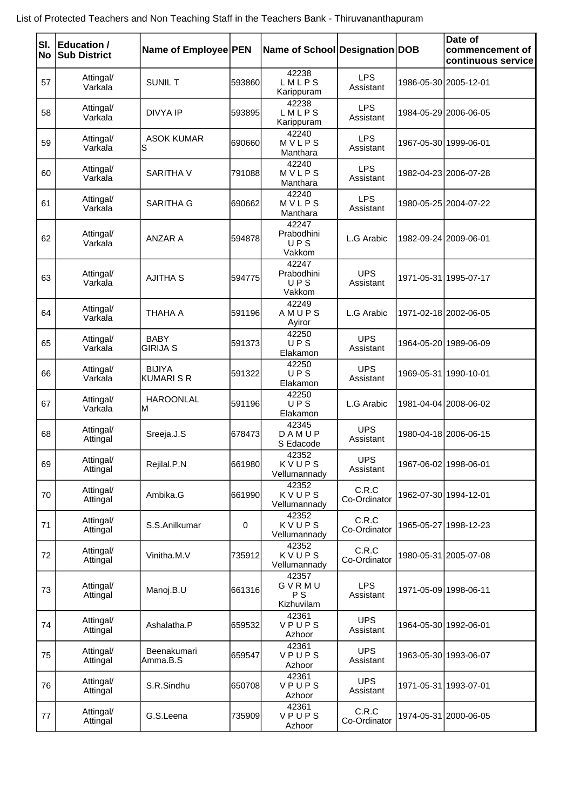| List of Protected Teachers and Non Teaching Staff in the Teachers Bank - Thiruvananthapuram |  |
|---------------------------------------------------------------------------------------------|--|
|---------------------------------------------------------------------------------------------|--|

| SI. | Education /<br><b>No Sub District</b> | Name of Employee PEN             |          | Name of School Designation DOB       |                         |                       | Date of<br>commencement of<br>continuous service |
|-----|---------------------------------------|----------------------------------|----------|--------------------------------------|-------------------------|-----------------------|--------------------------------------------------|
| 57  | Attingal/<br>Varkala                  | <b>SUNIL T</b>                   | 593860   | 42238<br>LMLPS<br>Karippuram         | <b>LPS</b><br>Assistant |                       | 1986-05-30 2005-12-01                            |
| 58  | Attingal/<br>Varkala                  | <b>DIVYA IP</b>                  | 593895   | 42238<br>LMLPS<br>Karippuram         | <b>LPS</b><br>Assistant |                       | 1984-05-29 2006-06-05                            |
| 59  | Attingal/<br>Varkala                  | <b>ASOK KUMAR</b><br>S           | l690660l | 42240<br>MVLPS<br>Manthara           | <b>LPS</b><br>Assistant | 1967-05-30 1999-06-01 |                                                  |
| 60  | Attingal/<br>Varkala                  | <b>SARITHA V</b>                 | 791088   | 42240<br>MVLPS<br>Manthara           | <b>LPS</b><br>Assistant |                       | 1982-04-23 2006-07-28                            |
| 61  | Attingal/<br>Varkala                  | <b>SARITHA G</b>                 | 1690662  | 42240<br>MVLPS<br>Manthara           | <b>LPS</b><br>Assistant |                       | 1980-05-25 2004-07-22                            |
| 62  | Attingal/<br>Varkala                  | <b>ANZAR A</b>                   | 594878   | 42247<br>Prabodhini<br>UPS<br>Vakkom | L.G Arabic              | 1982-09-24 2009-06-01 |                                                  |
| 63  | Attingal/<br>Varkala                  | <b>AJITHA S</b>                  | 594775   | 42247<br>Prabodhini<br>UPS<br>Vakkom | <b>UPS</b><br>Assistant |                       | 1971-05-31 1995-07-17                            |
| 64  | Attingal/<br>Varkala                  | THAHA A                          | 591196   | 42249<br>AMUPS<br>Ayiror             | L.G Arabic              |                       | 1971-02-18 2002-06-05                            |
| 65  | Attingal/<br>Varkala                  | <b>BABY</b><br><b>GIRIJA S</b>   | 591373   | 42250<br>UPS<br>Elakamon             | <b>UPS</b><br>Assistant |                       | 1964-05-20 1989-06-09                            |
| 66  | Attingal/<br>Varkala                  | <b>BIJIYA</b><br><b>KUMARISR</b> | 591322   | 42250<br>UPS<br>Elakamon             | <b>UPS</b><br>Assistant |                       | 1969-05-31 1990-10-01                            |
| 67  | Attingal/<br>Varkala                  | <b>HAROONLAL</b><br>M            | 591196   | 42250<br>UPS<br>Elakamon             | L.G Arabic              |                       | 1981-04-04 2008-06-02                            |
| 68  | Attingal/<br>Attingal                 | Sreeja.J.S                       | 678473   | 42345<br>DAMUP<br>S Edacode          | <b>UPS</b><br>Assistant |                       | 1980-04-18 2006-06-15                            |
| 69  | Attingal/<br>Attingal                 | Rejilal.P.N                      | 661980   | 42352<br>KVUPS<br>Vellumannady       | <b>UPS</b><br>Assistant |                       | 1967-06-02 1998-06-01                            |
| 70  | Attingal/<br>Attingal                 | Ambika.G                         | 16619901 | 42352<br>KVUPS<br>Vellumannady       | C.R.C<br>Co-Ordinator   |                       | 1962-07-30 1994-12-01                            |
| 71  | Attingal/<br>Attingal                 | S.S.Anilkumar                    | 0        | 42352<br>KVUPS<br>Vellumannady       | C.R.C<br>Co-Ordinator   |                       | 1965-05-27 1998-12-23                            |
| 72  | Attingal/<br>Attingal                 | Vinitha.M.V                      | 735912   | 42352<br>KVUPS<br>Vellumannady       | C.R.C<br>Co-Ordinator   |                       | 1980-05-31 2005-07-08                            |
| 73  | Attingal/<br>Attingal                 | Manoj.B.U                        | 661316   | 42357<br>GVRMU<br>P S<br>Kizhuvilam  | <b>LPS</b><br>Assistant |                       | 1971-05-09 1998-06-11                            |
| 74  | Attingal/<br>Attingal                 | Ashalatha.P                      | 659532   | 42361<br>VPUPS<br>Azhoor             | <b>UPS</b><br>Assistant |                       | 1964-05-30 1992-06-01                            |
| 75  | Attingal/<br>Attingal                 | Beenakumari<br>Amma.B.S          | 659547   | 42361<br>VPUPS<br>Azhoor             | <b>UPS</b><br>Assistant |                       | 1963-05-30 1993-06-07                            |
| 76  | Attingal/<br>Attingal                 | S.R.Sindhu                       | 650708   | 42361<br><b>VPUPS</b><br>Azhoor      | <b>UPS</b><br>Assistant |                       | 1971-05-31 1993-07-01                            |
| 77  | Attingal/<br>Attingal                 | G.S.Leena                        | 735909   | 42361<br>VPUPS<br>Azhoor             | C.R.C<br>Co-Ordinator   |                       | 1974-05-31 2000-06-05                            |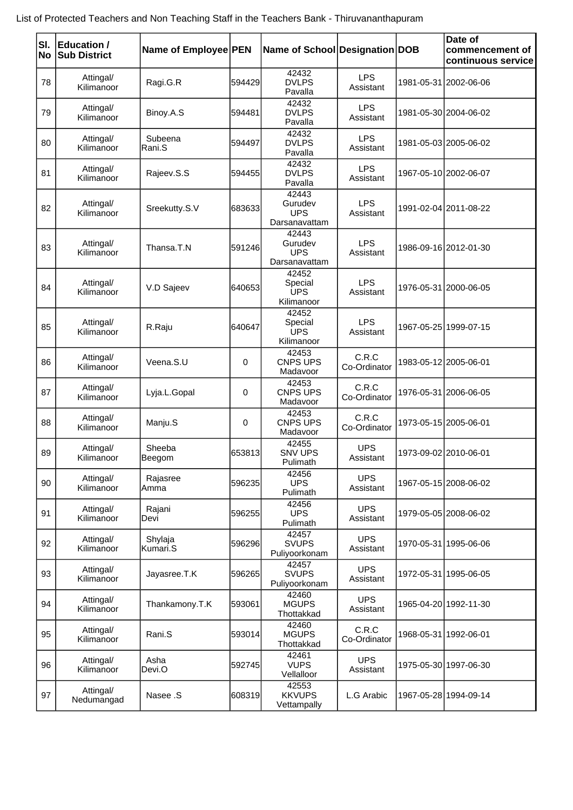|  |  |  |  | List of Protected Teachers and Non Teaching Staff in the Teachers Bank - Thiruvananthapuram |
|--|--|--|--|---------------------------------------------------------------------------------------------|
|--|--|--|--|---------------------------------------------------------------------------------------------|

| SI.<br> No | <b>Education /</b><br><b>Sub District</b> | Name of Employee PEN |         | Name of School Designation DOB                  |                         | Date of<br>commencement of<br>continuous service |
|------------|-------------------------------------------|----------------------|---------|-------------------------------------------------|-------------------------|--------------------------------------------------|
| 78         | Attingal/<br>Kilimanoor                   | Ragi.G.R             | 594429  | 42432<br><b>DVLPS</b><br>Pavalla                | <b>LPS</b><br>Assistant | 1981-05-31 2002-06-06                            |
| 79         | Attingal/<br>Kilimanoor                   | Binoy.A.S            | 594481  | 42432<br><b>DVLPS</b><br>Pavalla                | <b>LPS</b><br>Assistant | 1981-05-30 2004-06-02                            |
| 80         | Attingal/<br>Kilimanoor                   | Subeena<br>Rani.S    | 594497  | 42432<br><b>DVLPS</b><br>Pavalla                | <b>LPS</b><br>Assistant | 1981-05-03 2005-06-02                            |
| 81         | Attingal/<br>Kilimanoor                   | Rajeev.S.S           | 5944551 | 42432<br><b>DVLPS</b><br>Pavalla                | <b>LPS</b><br>Assistant | 1967-05-10 2002-06-07                            |
| 82         | Attingal/<br>Kilimanoor                   | Sreekutty.S.V        | 683633  | 42443<br>Gurudev<br><b>UPS</b><br>Darsanavattam | <b>LPS</b><br>Assistant | 1991-02-04 2011-08-22                            |
| 83         | Attingal/<br>Kilimanoor                   | Thansa.T.N           | 591246  | 42443<br>Gurudev<br><b>UPS</b><br>Darsanavattam | <b>LPS</b><br>Assistant | 1986-09-16 2012-01-30                            |
| 84         | Attingal/<br>Kilimanoor                   | V.D Sajeev           | 640653  | 42452<br>Special<br><b>UPS</b><br>Kilimanoor    | <b>LPS</b><br>Assistant | 1976-05-31 2000-06-05                            |
| 85         | Attingal/<br>Kilimanoor                   | R.Raju               | 640647  | 42452<br>Special<br><b>UPS</b><br>Kilimanoor    | <b>LPS</b><br>Assistant | 1967-05-25 1999-07-15                            |
| 86         | Attingal/<br>Kilimanoor                   | Veena.S.U            | 0       | 42453<br>CNPS UPS<br>Madavoor                   | C.R.C<br>Co-Ordinator   | 1983-05-12 2005-06-01                            |
| 87         | Attingal/<br>Kilimanoor                   | Lyja.L.Gopal         | 0       | 42453<br>CNPS UPS<br>Madavoor                   | C.R.C<br>Co-Ordinator   | 1976-05-31 2006-06-05                            |
| 88         | Attingal/<br>Kilimanoor                   | Manju.S              | 0       | 42453<br>CNPS UPS<br>Madavoor                   | C.R.C<br>Co-Ordinator   | 1973-05-15 2005-06-01                            |
| 89         | Attingal/<br>Kilimanoor                   | Sheeba<br>Beegom     | 653813  | 42455<br><b>SNV UPS</b><br>Pulimath             | <b>UPS</b><br>Assistant | 1973-09-02 2010-06-01                            |
| 90         | Attingal/<br>Kilimanoor                   | Rajasree<br>Amma     | 596235  | 42456<br><b>UPS</b><br>Pulimath                 | <b>UPS</b><br>Assistant | 1967-05-15 2008-06-02                            |
| 91         | Attingal/<br>Kilimanoor                   | Rajani<br>Devi       | 596255  | 42456<br><b>UPS</b><br>Pulimath                 | <b>UPS</b><br>Assistant | 1979-05-05 2008-06-02                            |
| 92         | Attingal/<br>Kilimanoor                   | Shylaja<br>Kumari.S  | 596296  | 42457<br><b>SVUPS</b><br>Puliyoorkonam          | <b>UPS</b><br>Assistant | 1970-05-31 1995-06-06                            |
| 93         | Attingal/<br>Kilimanoor                   | Jayasree.T.K         | 596265  | 42457<br><b>SVUPS</b><br>Puliyoorkonam          | <b>UPS</b><br>Assistant | 1972-05-31 1995-06-05                            |
| 94         | Attingal/<br>Kilimanoor                   | Thankamony.T.K       | 593061  | 42460<br><b>MGUPS</b><br>Thottakkad             | <b>UPS</b><br>Assistant | 1965-04-20 1992-11-30                            |
| 95         | Attingal/<br>Kilimanoor                   | Rani.S               | 593014  | 42460<br><b>MGUPS</b><br>Thottakkad             | C.R.C<br>Co-Ordinator   | 1968-05-31 1992-06-01                            |
| 96         | Attingal/<br>Kilimanoor                   | Asha<br>Devi.O       | 592745  | 42461<br><b>VUPS</b><br>Vellalloor              | <b>UPS</b><br>Assistant | 1975-05-30 1997-06-30                            |
| 97         | Attingal/<br>Nedumangad                   | Nasee .S             | 608319  | 42553<br><b>KKVUPS</b><br>Vettampally           | L.G Arabic              | 1967-05-28 1994-09-14                            |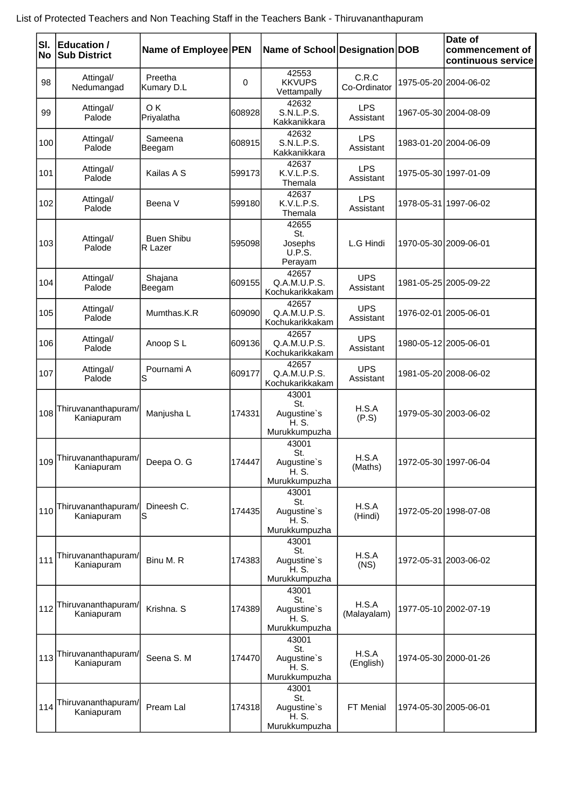|  |  |  |  | List of Protected Teachers and Non Teaching Staff in the Teachers Bank - Thiruvananthapuram |
|--|--|--|--|---------------------------------------------------------------------------------------------|
|--|--|--|--|---------------------------------------------------------------------------------------------|

|     | SI. Education /                   |                              |             |                                                       |                         | Date of                               |
|-----|-----------------------------------|------------------------------|-------------|-------------------------------------------------------|-------------------------|---------------------------------------|
| No  | <b>Sub District</b>               | Name of Employee PEN         |             | Name of School Designation DOB                        |                         | commencement of<br>continuous service |
| 98  | Attingal/<br>Nedumangad           | Preetha<br>Kumary D.L        | $\mathbf 0$ | 42553<br><b>KKVUPS</b><br>Vettampally                 | C.R.C<br>Co-Ordinator   | 1975-05-20 2004-06-02                 |
| 99  | Attingal/<br>Palode               | OK.<br>Priyalatha            | 608928      | 42632<br><b>S.N.L.P.S.</b><br>Kakkanikkara            | <b>LPS</b><br>Assistant | 1967-05-30 2004-08-09                 |
| 100 | Attingal/<br>Palode               | Sameena<br>Beegam            | 608915      | 42632<br>S.N.L.P.S.<br>Kakkanikkara                   | <b>LPS</b><br>Assistant | 1983-01-20 2004-06-09                 |
| 101 | Attingal/<br>Palode               | Kailas A S                   | 599173      | 42637<br>K.V.L.P.S.<br>Themala                        | <b>LPS</b><br>Assistant | 1975-05-30 1997-01-09                 |
| 102 | Attingal/<br>Palode               | Beena V                      | 599180      | 42637<br>K.V.L.P.S.<br>Themala                        | <b>LPS</b><br>Assistant | 1978-05-31 1997-06-02                 |
| 103 | Attingal/<br>Palode               | <b>Buen Shibu</b><br>R Lazer | 595098      | 42655<br>St.<br>Josephs<br><b>U.P.S.</b><br>Perayam   | L.G Hindi               | 1970-05-30 2009-06-01                 |
| 104 | Attingal/<br>Palode               | Shajana<br>Beegam            | 609155      | 42657<br>Q.A.M.U.P.S.<br>Kochukarikkakam              | <b>UPS</b><br>Assistant | 1981-05-25 2005-09-22                 |
| 105 | Attingal/<br>Palode               | Mumthas.K.R                  | 609090      | 42657<br>Q.A.M.U.P.S.<br>Kochukarikkakam              | <b>UPS</b><br>Assistant | 1976-02-01 2005-06-01                 |
| 106 | Attingal/<br>Palode               | Anoop SL                     | 609136      | 42657<br>Q.A.M.U.P.S.<br>Kochukarikkakam              | <b>UPS</b><br>Assistant | 1980-05-12 2005-06-01                 |
| 107 | Attingal/<br>Palode               | Pournami A<br>S              | 609177      | 42657<br>Q.A.M.U.P.S.<br>Kochukarikkakam              | <b>UPS</b><br>Assistant | 1981-05-20 2008-06-02                 |
| 108 | Thiruvananthapuram/<br>Kaniapuram | Manjusha L                   | 174331      | 43001<br>St.<br>Augustine's<br>H. S.<br>Murukkumpuzha | H.S.A<br>(P.S)          | 1979-05-30 2003-06-02                 |
| 109 | Thiruvananthapuram/<br>Kaniapuram | Deepa O. G                   | 174447      | 43001<br>St.<br>Augustine's<br>H. S.<br>Murukkumpuzha | H.S.A<br>(Maths)        | 1972-05-30 1997-06-04                 |
| 110 | Thiruvananthapuram/<br>Kaniapuram | Dineesh C.<br>ls             | 174435      | 43001<br>St.<br>Augustine's<br>H. S.<br>Murukkumpuzha | H.S.A<br>(Hindi)        | 1972-05-20 1998-07-08                 |
| 111 | Thiruvananthapuram/<br>Kaniapuram | Binu M. R                    | 174383      | 43001<br>St.<br>Augustine's<br>H. S.<br>Murukkumpuzha | H.S.A<br>(NS)           | 1972-05-31 2003-06-02                 |
| 112 | Thiruvananthapuram/<br>Kaniapuram | Krishna. S                   | 174389      | 43001<br>St.<br>Augustine's<br>H. S.<br>Murukkumpuzha | H.S.A<br>(Malayalam)    | 1977-05-10 2002-07-19                 |
| 113 | Thiruvananthapuram/<br>Kaniapuram | Seena S. M                   | 174470      | 43001<br>St.<br>Augustine's<br>H. S.<br>Murukkumpuzha | H.S.A<br>(English)      | 1974-05-30 2000-01-26                 |
| 114 | Thiruvananthapuram/<br>Kaniapuram | Pream Lal                    | 174318      | 43001<br>St.<br>Augustine's<br>H. S.<br>Murukkumpuzha | FT Menial               | 1974-05-30 2005-06-01                 |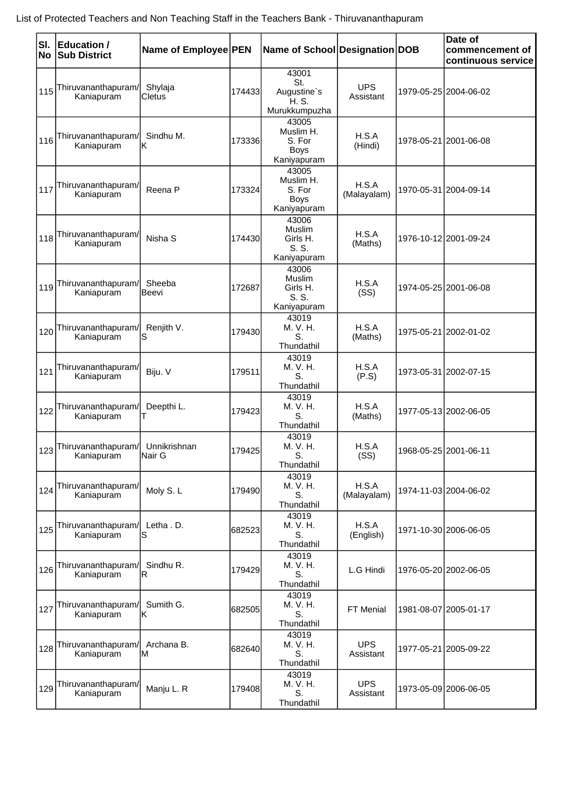| SI.<br>No | Education /<br><b>Sub District</b> | Name of Employee PEN    |        | Name of School Designation DOB                             |                         | Date of<br>commencement of<br>continuous service |
|-----------|------------------------------------|-------------------------|--------|------------------------------------------------------------|-------------------------|--------------------------------------------------|
| 115       | Thiruvananthapuram/<br>Kaniapuram  | Shylaja<br>Cletus       | 174433 | 43001<br>St.<br>Augustine's<br>H. S.<br>Murukkumpuzha      | <b>UPS</b><br>Assistant | 1979-05-25 2004-06-02                            |
| 116       | Thiruvananthapuram/<br>Kaniapuram  | Sindhu M.<br>κ          | 173336 | 43005<br>Muslim H.<br>S. For<br><b>Boys</b><br>Kaniyapuram | H.S.A<br>(Hindi)        | 1978-05-21 2001-06-08                            |
| 117       | Thiruvananthapuram/<br>Kaniapuram  | Reena P                 | 173324 | 43005<br>Muslim H.<br>S. For<br><b>Boys</b><br>Kaniyapuram | H.S.A<br>(Malayalam)    | 1970-05-31 2004-09-14                            |
| 118       | Thiruvananthapuram/<br>Kaniapuram  | Nisha S                 | 174430 | 43006<br>Muslim<br>Girls H.<br>S. S.<br>Kaniyapuram        | H.S.A<br>(Maths)        | 1976-10-12 2001-09-24                            |
| 119       | Thiruvananthapuram/<br>Kaniapuram  | Sheeba<br><b>Beevi</b>  | 172687 | 43006<br>Muslim<br>Girls H.<br>S. S.<br>Kaniyapuram        | H.S.A<br>(SS)           | 1974-05-25 2001-06-08                            |
| 120       | Thiruvananthapuram/<br>Kaniapuram  | Renjith V.<br>S         | 179430 | 43019<br>M. V. H.<br>S.<br>Thundathil                      | H.S.A<br>(Maths)        | 1975-05-21 2002-01-02                            |
| 121       | Thiruvananthapuram/<br>Kaniapuram  | Biju. V                 | 179511 | 43019<br>M. V. H.<br>S.<br>Thundathil                      | H.S.A<br>(P.S)          | 1973-05-31 2002-07-15                            |
| 122       | Thiruvananthapuram/<br>Kaniapuram  | Deepthi L.<br>T         | 179423 | 43019<br>M. V. H.<br>S.<br>Thundathil                      | H.S.A<br>(Maths)        | 1977-05-13 2002-06-05                            |
| 123       | Thiruvananthapuram/<br>Kaniapuram  | Unnikrishnan<br>INair G | 179425 | 43019<br>M. V. H.<br>S.<br>Thundathil                      | H.S.A<br>(SS)           | 1968-05-25 2001-06-11                            |
| 124       | Thiruvananthapuram/<br>Kaniapuram  | Moly S.L                | 179490 | 43019<br>M. V. H.<br>S.<br>Thundathil                      | H.S.A<br>(Malayalam)    | 1974-11-03 2004-06-02                            |
| 125       | Thiruvananthapuram/<br>Kaniapuram  | Letha . D.<br>S         | 682523 | 43019<br>M. V. H.<br>S.<br>Thundathil                      | H.S.A<br>(English)      | 1971-10-30 2006-06-05                            |
| 126       | Thiruvananthapuram/<br>Kaniapuram  | Sindhu R.<br>ΙR         | 179429 | 43019<br>M. V. H.<br>S.<br>Thundathil                      | L.G Hindi               | 1976-05-20 2002-06-05                            |
| 127       | Thiruvananthapuram/<br>Kaniapuram  | Sumith G.<br>lΚ         | 682505 | 43019<br>M. V. H.<br>S.<br>Thundathil                      | FT Menial               | 1981-08-07 2005-01-17                            |
| 128       | Thiruvananthapuram/<br>Kaniapuram  | Archana B.<br>ΙM        | 682640 | 43019<br>M. V. H.<br>S.<br>Thundathil                      | <b>UPS</b><br>Assistant | 1977-05-21 2005-09-22                            |
| 129       | Thiruvananthapuram/<br>Kaniapuram  | Manju L. R              | 179408 | 43019<br>M. V. H.<br>S.<br>Thundathil                      | <b>UPS</b><br>Assistant | 1973-05-09 2006-06-05                            |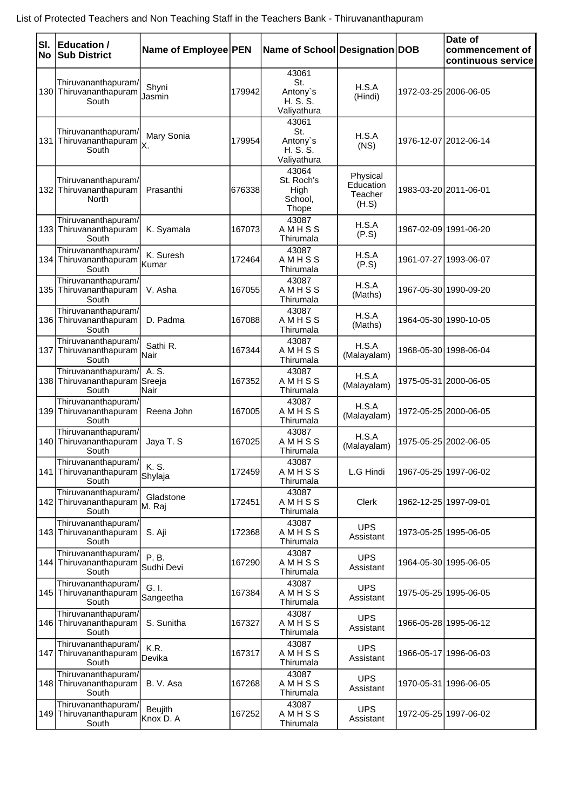| SI.<br>No | <b>Education /</b><br><b>Sub District</b>                        | Name of Employee PEN |        | Name of School Designation DOB                      |                                           |            | Date of<br>commencement of<br>continuous service |
|-----------|------------------------------------------------------------------|----------------------|--------|-----------------------------------------------------|-------------------------------------------|------------|--------------------------------------------------|
|           | Thiruvananthapuram/<br>130 Thiruvananthapuram<br>South           | Shyni<br>Jasmin      | 179942 | 43061<br>St.<br>Antony's<br>H. S. S.<br>Valiyathura | H.S.A<br>(Hindi)                          |            | 1972-03-25 2006-06-05                            |
|           | Thiruvananthapuram/<br>131 Thiruvananthapuram<br>South           | Mary Sonia           | 179954 | 43061<br>St.<br>Antony's<br>H. S. S.<br>Valiyathura | H.S.A<br>(NS)                             |            | 1976-12-07 2012-06-14                            |
|           | Thiruvananthapuram/<br>132 Thiruvananthapuram<br>North           | Prasanthi            | 676338 | 43064<br>St. Roch's<br>High<br>School,<br>Thope     | Physical<br>Education<br>Teacher<br>(H.S) |            | 1983-03-20 2011-06-01                            |
|           | Thiruvananthapuram/<br>133 Thiruvananthapuram<br>South           | K. Syamala           | 167073 | 43087<br>AMHSS<br>Thirumala                         | H.S.A<br>(P.S)                            |            | 1967-02-09 1991-06-20                            |
|           | Thiruvananthapuram/<br>134 Thiruvananthapuram Kumar<br>South     | K. Suresh            | 172464 | 43087<br>AMHSS<br>Thirumala                         | H.S.A<br>(P.S)                            |            | 1961-07-27 1993-06-07                            |
|           | Thiruvananthapuram/<br>135 Thiruvananthapuram<br>South           | V. Asha              | 167055 | 43087<br>AMHSS<br>Thirumala                         | H.S.A<br>(Maths)                          |            | 1967-05-30 1990-09-20                            |
|           | Thiruvananthapuram/<br>136 Thiruvananthapuram<br>South           | D. Padma             | 167088 | 43087<br>AMHSS<br>Thirumala                         | H.S.A<br>(Maths)                          |            | 1964-05-30 1990-10-05                            |
|           | Thiruvananthapuram/<br>137 Thiruvananthapuram Nair<br>South      | Sathi R.             | 167344 | 43087<br>AMHSS<br>Thirumala                         | H.S.A<br>(Malayalam)                      |            | 1968-05-30 1998-06-04                            |
|           | Thiruvananthapuram/<br>138 Thiruvananthapuram Sreeja<br>South    | A. S.<br> Nair       | 167352 | 43087<br>AMHSS<br>Thirumala                         | H.S.A<br>(Malayalam)                      |            | 1975-05-31 2000-06-05                            |
|           | Thiruvananthapuram/<br>139 Thiruvananthapuram<br>South           | Reena John           | 167005 | 43087<br>AMHSS<br>Thirumala                         | H.S.A<br>(Malayalam)                      |            | 1972-05-25 2000-06-05                            |
|           | Thiruvananthapuram/<br>140 Thiruvananthapuram<br>South           | Jaya T. S            | 167025 | 43087<br>AMHSS<br>Thirumala                         | H.S.A<br>(Malayalam)                      |            | 1975-05-25 2002-06-05                            |
|           | Thiruvananthapuram/<br>141 Thiruvananthapuram<br>South           | K. S.<br>Shylaja     | 172459 | 43087<br>AMHSS<br>Thirumala                         | L.G Hindi                                 |            | 1967-05-25 1997-06-02                            |
|           | Thiruvananthapuram/<br>142 Thiruvananthapuram M. Raj<br>South    | Gladstone            | 172451 | 43087<br>AMHSS<br>Thirumala                         | Clerk                                     |            | 1962-12-25 1997-09-01                            |
|           | Thiruvananthapuram/<br>143 Thiruvananthapuram<br>South           | S. Aji               | 172368 | 43087<br>AMHSS<br>Thirumala                         | <b>UPS</b><br>Assistant                   |            | 1973-05-25 1995-06-05                            |
|           | Thiruvananthapuram/<br>144 Thiruvananthapuram<br>South           | P. B.<br>Sudhi Devi  | 167290 | 43087<br>AMHSS<br>Thirumala                         | <b>UPS</b><br>Assistant                   |            | 1964-05-30 1995-06-05                            |
|           | Thiruvananthapuram/<br>145 Thiruvananthapuram<br>South           | G. I.<br>Sangeetha   | 167384 | 43087<br>AMHSS<br>Thirumala                         | <b>UPS</b><br>Assistant                   |            | 1975-05-25 1995-06-05                            |
|           | Thiruvananthapuram/<br>146 Thiruvananthapuram<br>South           | S. Sunitha           | 167327 | 43087<br>AMHSS<br>Thirumala                         | <b>UPS</b><br>Assistant                   |            | 1966-05-28 1995-06-12                            |
|           | Thiruvananthapuram/<br>147 Thiruvananthapuram<br>South           | K.R.<br>Devika       | 167317 | 43087<br>AMHSS<br>Thirumala                         | <b>UPS</b><br>Assistant                   |            | 1966-05-17 1996-06-03                            |
|           | Thiruvananthapuram/<br>148 Thiruvananthapuram<br>South           | B. V. Asa            | 167268 | 43087<br>AMHSS<br>Thirumala                         | <b>UPS</b><br>Assistant                   | 1970-05-31 | 1996-06-05                                       |
|           | Thiruvananthapuram/<br>149 Thiruvananthapuram Knox D. A<br>South | <b>Beujith</b>       | 167252 | 43087<br>AMHSS<br>Thirumala                         | <b>UPS</b><br>Assistant                   |            | 1972-05-25 1997-06-02                            |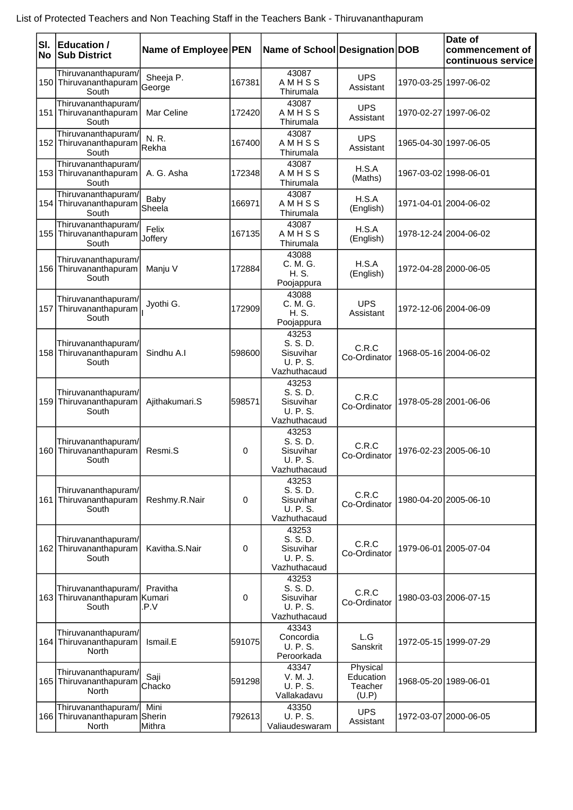| SI.<br>No | <b>Education /</b><br><b>Sub District</b>                     | Name of Employee PEN |             | Name of School Designation DOB                             |                                           | Date of<br>commencement of<br>continuous service |
|-----------|---------------------------------------------------------------|----------------------|-------------|------------------------------------------------------------|-------------------------------------------|--------------------------------------------------|
|           | Thiruvananthapuram/<br>150 Thiruvananthapuram<br>South        | Sheeja P.<br> George | 167381      | 43087<br>AMHSS<br>Thirumala                                | <b>UPS</b><br>Assistant                   | 1970-03-25 1997-06-02                            |
|           | Thiruvananthapuram/<br>151 Thiruvananthapuram<br>South        | Mar Celine           | 172420      | 43087<br>AMHSS<br>Thirumala                                | <b>UPS</b><br>Assistant                   | 1970-02-27 1997-06-02                            |
|           | Thiruvananthapuram/<br>152 Thiruvananthapuram<br>South        | N. R.<br>Rekha       | 167400      | 43087<br>AMHSS<br>Thirumala                                | <b>UPS</b><br>Assistant                   | 1965-04-30 1997-06-05                            |
|           | Thiruvananthapuram/<br>153 Thiruvananthapuram<br>South        | A. G. Asha           | 172348      | 43087<br>AMHSS<br>Thirumala                                | H.S.A<br>(Maths)                          | 1967-03-02 1998-06-01                            |
|           | Thiruvananthapuram/<br>154 Thiruvananthapuram<br>South        | Baby<br>Sheela       | 166971      | 43087<br>AMHSS<br>Thirumala                                | H.S.A<br>(English)                        | 1971-04-01 2004-06-02                            |
|           | Thiruvananthapuram/<br>155 Thiruvananthapuram<br>South        | Felix<br>Joffery     | 167135      | 43087<br>AMHSS<br>Thirumala                                | H.S.A<br>(English)                        | 1978-12-24 2004-06-02                            |
|           | Thiruvananthapuram/<br>156 Thiruvananthapuram<br>South        | Manju V              | 172884      | 43088<br>C. M. G.<br>H. S.<br>Poojappura                   | H.S.A<br>(English)                        | 1972-04-28 2000-06-05                            |
|           | Thiruvananthapuram/<br>157 Thiruvananthapuram<br>South        | Jyothi G.            | 172909      | 43088<br>C. M. G.<br>H. S.<br>Poojappura                   | <b>UPS</b><br>Assistant                   | 1972-12-06 2004-06-09                            |
|           | Thiruvananthapuram/<br>158 Thiruvananthapuram<br>South        | Sindhu A.I           | 598600      | 43253<br>S. S. D.<br>Sisuvihar<br>U. P. S.<br>Vazhuthacaud | C.R.C<br>Co-Ordinator                     | 1968-05-16 2004-06-02                            |
|           | Thiruvananthapuram/<br>159 Thiruvananthapuram<br>South        | Ajithakumari.S       | 598571      | 43253<br>S. S. D.<br>Sisuvihar<br>U. P. S.<br>Vazhuthacaud | C.R.C<br>Co-Ordinator                     | 1978-05-28 2001-06-06                            |
|           | Thiruvananthapuram/<br>160 Thiruvananthapuram<br>South        | Resmi.S              | 0           | 43253<br>S. S. D.<br>Sisuvihar<br>U. P. S.<br>Vazhuthacaud | C.R.C<br>Co-Ordinator                     | 1976-02-23 2005-06-10                            |
|           | Thiruvananthapuram/<br>161 Thiruvananthapuram<br>South        | Reshmy.R.Nair        | 0           | 43253<br>S. S. D.<br>Sisuvihar<br>U. P. S.<br>Vazhuthacaud | C.R.C<br>Co-Ordinator                     | 1980-04-20 2005-06-10                            |
|           | Thiruvananthapuram/<br>162 Thiruvananthapuram<br>South        | Kavitha.S.Nair       | 0           | 43253<br>S. S. D.<br>Sisuvihar<br>U. P. S.<br>Vazhuthacaud | C.R.C<br>Co-Ordinator                     | 1979-06-01 2005-07-04                            |
|           | Thiruvananthapuram/<br>163 Thiruvananthapuram Kumari<br>South | Pravitha<br>.P.V     | $\mathbf 0$ | 43253<br>S. S. D.<br>Sisuvihar<br>U. P. S.<br>Vazhuthacaud | C.R.C<br>Co-Ordinator                     | 1980-03-03 2006-07-15                            |
|           | Thiruvananthapuram/<br>164 Thiruvananthapuram<br>North        | Ismail.E             | 591075      | 43343<br>Concordia<br>U. P. S.<br>Peroorkada               | L.G<br>Sanskrit                           | 1972-05-15 1999-07-29                            |
|           | Thiruvananthapuram/<br>165 Thiruvananthapuram<br>North        | Saji<br>Chacko       | 591298      | 43347<br>V. M. J.<br>U. P. S.<br>Vallakadavu               | Physical<br>Education<br>Teacher<br>(U.P) | 1968-05-20 1989-06-01                            |
|           | Thiruvananthapuram/<br>166 Thiruvananthapuram Sherin<br>North | Mini<br>Mithra       | 792613      | 43350<br>U. P. S.<br>Valiaudeswaram                        | <b>UPS</b><br>Assistant                   | 1972-03-07 2000-06-05                            |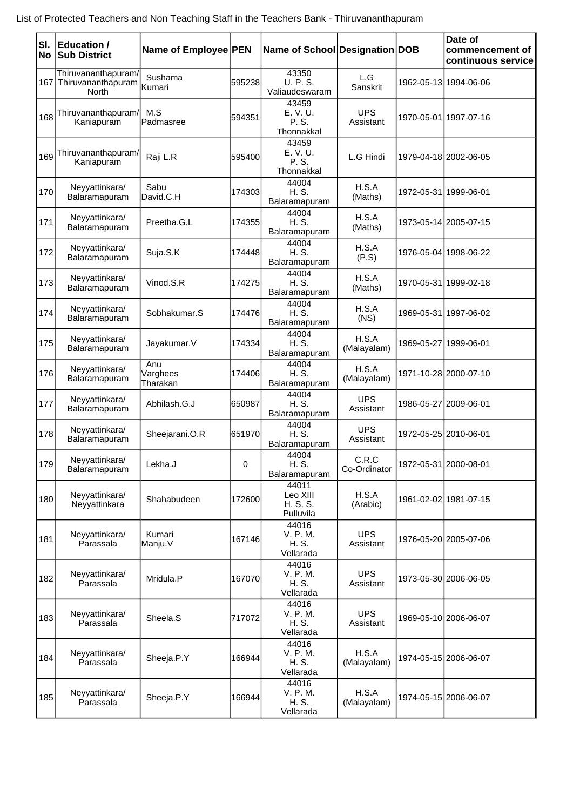| SI. | Education /<br>No Sub District                                | Name of Employee PEN        |        | Name of School Designation DOB             |                         | Date of<br>commencement of<br>continuous service |
|-----|---------------------------------------------------------------|-----------------------------|--------|--------------------------------------------|-------------------------|--------------------------------------------------|
|     | Thiruvananthapuram/<br>167 Thiruvananthapuram<br><b>North</b> | Sushama<br>Kumari           | 595238 | 43350<br>U. P. S.<br>Valiaudeswaram        | L.G<br>Sanskrit         | 1962-05-13 1994-06-06                            |
| 168 | Thiruvananthapuram/<br>Kaniapuram                             | M.S<br>Padmasree            | 594351 | 43459<br>E. V. U.<br>P. S.<br>Thonnakkal   | <b>UPS</b><br>Assistant | 1970-05-01 1997-07-16                            |
| 169 | Thiruvananthapuram/<br>Kaniapuram                             | Raji L.R                    | 595400 | 43459<br>E. V. U.<br>P. S.<br>Thonnakkal   | L.G Hindi               | 1979-04-18 2002-06-05                            |
| 170 | Neyyattinkara/<br>Balaramapuram                               | Sabu<br>David.C.H           | 174303 | 44004<br>H. S.<br>Balaramapuram            | H.S.A<br>(Maths)        | 1972-05-31 1999-06-01                            |
| 171 | Neyyattinkara/<br>Balaramapuram                               | Preetha.G.L                 | 174355 | 44004<br>H. S.<br>Balaramapuram            | H.S.A<br>(Maths)        | 1973-05-14 2005-07-15                            |
| 172 | Neyyattinkara/<br>Balaramapuram                               | Suja.S.K                    | 174448 | 44004<br>H. S.<br>Balaramapuram            | H.S.A<br>(P.S)          | 1976-05-04 1998-06-22                            |
| 173 | Neyyattinkara/<br>Balaramapuram                               | Vinod.S.R                   | 174275 | 44004<br>H. S.<br>Balaramapuram            | H.S.A<br>(Maths)        | 1970-05-31 1999-02-18                            |
| 174 | Neyyattinkara/<br>Balaramapuram                               | Sobhakumar.S                | 174476 | 44004<br>H. S.<br>Balaramapuram            | H.S.A<br>(NS)           | 1969-05-31   1997-06-02                          |
| 175 | Neyyattinkara/<br>Balaramapuram                               | Jayakumar.V                 | 174334 | 44004<br>H. S.<br>Balaramapuram            | H.S.A<br>(Malayalam)    | 1969-05-27 1999-06-01                            |
| 176 | Neyyattinkara/<br>Balaramapuram                               | Anu<br>Varghees<br>Tharakan | 174406 | 44004<br>H. S.<br>Balaramapuram            | H.S.A<br>(Malayalam)    | 1971-10-28 2000-07-10                            |
| 177 | Neyyattinkara/<br>Balaramapuram                               | Abhilash.G.J                | 650987 | 44004<br>H. S.<br>Balaramapuram            | <b>UPS</b><br>Assistant | 1986-05-27 2009-06-01                            |
| 178 | Neyyattinkara/<br>Balaramapuram                               | Sheejarani.O.R              | 651970 | 44004<br>H. S.<br>Balaramapuram            | <b>UPS</b><br>Assistant | 1972-05-25 2010-06-01                            |
| 179 | Neyyattinkara/<br>Balaramapuram                               | Lekha.J                     | 0      | 44004<br>H. S.<br>Balaramapuram            | C.R.C<br>Co-Ordinator   | 1972-05-31 2000-08-01                            |
| 180 | Neyyattinkara/<br>Neyyattinkara                               | Shahabudeen                 | 172600 | 44011<br>Leo XIII<br>H. S. S.<br>Pulluvila | H.S.A<br>(Arabic)       | 1961-02-02 1981-07-15                            |
| 181 | Neyyattinkara/<br>Parassala                                   | Kumari<br>Manju.V           | 167146 | 44016<br>V. P. M.<br>H. S.<br>Vellarada    | <b>UPS</b><br>Assistant | 1976-05-20 2005-07-06                            |
| 182 | Neyyattinkara/<br>Parassala                                   | Mridula.P                   | 167070 | 44016<br>V. P. M.<br>H. S.<br>Vellarada    | <b>UPS</b><br>Assistant | 1973-05-30 2006-06-05                            |
| 183 | Neyyattinkara/<br>Parassala                                   | Sheela.S                    | 717072 | 44016<br>V. P. M.<br>H. S.<br>Vellarada    | <b>UPS</b><br>Assistant | 1969-05-10 2006-06-07                            |
| 184 | Neyyattinkara/<br>Parassala                                   | Sheeja.P.Y                  | 166944 | 44016<br>V. P. M.<br>H. S.<br>Vellarada    | H.S.A<br>(Malayalam)    | 1974-05-15 2006-06-07                            |
| 185 | Neyyattinkara/<br>Parassala                                   | Sheeja.P.Y                  | 166944 | 44016<br>V. P. M.<br>H. S.<br>Vellarada    | H.S.A<br>(Malayalam)    | 1974-05-15 2006-06-07                            |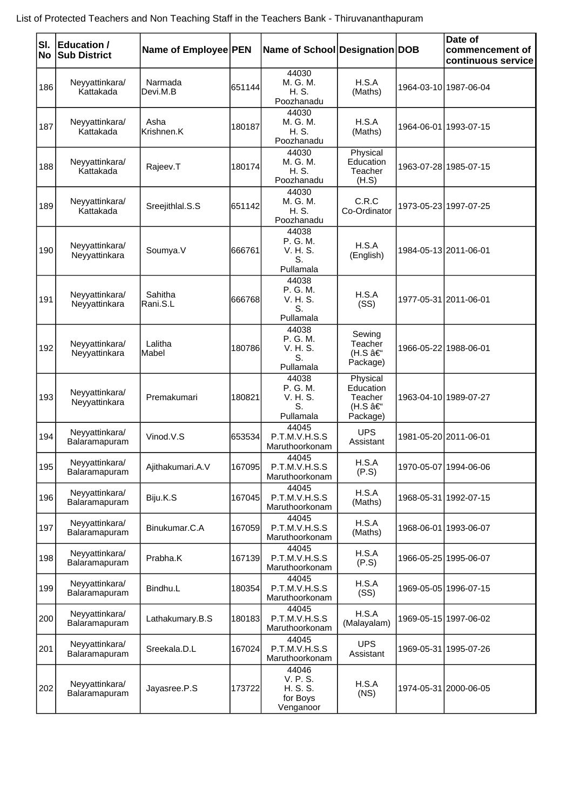| SI.<br><b>No</b> | <b>Education /</b><br><b>Sub District</b> | Name of Employee PEN |        | Name of School Designation DOB                         |                                                        | Date of<br>commencement of<br>continuous service |
|------------------|-------------------------------------------|----------------------|--------|--------------------------------------------------------|--------------------------------------------------------|--------------------------------------------------|
| 186              | Neyyattinkara/<br>Kattakada               | Narmada<br>Devi.M.B  | 651144 | 44030<br>M. G. M.<br>H. S.<br>Poozhanadu               | H.S.A<br>(Maths)                                       | 1964-03-10 1987-06-04                            |
| 187              | Neyyattinkara/<br>Kattakada               | Asha<br>Krishnen.K   | 180187 | 44030<br>M. G. M.<br>H. S.<br>Poozhanadu               | H.S.A<br>(Maths)                                       | 1964-06-01 1993-07-15                            |
| 188              | Neyyattinkara/<br>Kattakada               | Rajeev.T             | 180174 | 44030<br>M. G. M.<br>H. S.<br>Poozhanadu               | Physical<br>Education<br>Teacher<br>(H.S)              | 1963-07-28 1985-07-15                            |
| 189              | Neyyattinkara/<br>Kattakada               | Sreejithlal.S.S      | 651142 | 44030<br>M. G. M.<br>H. S.<br>Poozhanadu               | C.R.C<br>Co-Ordinator                                  | 1973-05-23 1997-07-25                            |
| 190              | Neyyattinkara/<br>Neyyattinkara           | Soumya.V             | 666761 | 44038<br>P. G. M.<br>V. H. S.<br>S.<br>Pullamala       | H.S.A<br>(English)                                     | 1984-05-13 2011-06-01                            |
| 191              | Neyyattinkara/<br>Neyyattinkara           | Sahitha<br>Rani.S.L  | 666768 | 44038<br>P. G. M.<br>V. H. S.<br>S.<br>Pullamala       | H.S.A<br>(SS)                                          | 1977-05-31 2011-06-01                            |
| 192              | Neyyattinkara/<br>Neyyattinkara           | Lalitha<br>Mabel     | 180786 | 44038<br>P. G. M.<br>V. H. S.<br>S.<br>Pullamala       | Sewing<br>Teacher<br>(H.S –<br>Package)                | 1966-05-22 1988-06-01                            |
| 193              | Neyyattinkara/<br>Neyyattinkara           | Premakumari          | 180821 | 44038<br>P. G. M.<br>V. H. S.<br>S.<br>Pullamala       | Physical<br>Education<br>Teacher<br>(H.S –<br>Package) | 1963-04-10 1989-07-27                            |
| 194              | Neyyattinkara/<br>Balaramapuram           | Vinod.V.S            | 653534 | 44045<br>P.T.M.V.H.S.S<br>Maruthoorkonam               | <b>UPS</b><br>Assistant                                | 1981-05-20 2011-06-01                            |
| 195              | Neyyattinkara/<br>Balaramapuram           | Ajithakumari.A.V     | 167095 | 44045<br>P.T.M.V.H.S.S<br>Maruthoorkonam               | H.S.A<br>(P.S)                                         | 1970-05-07 1994-06-06                            |
| 196              | Neyyattinkara/<br>Balaramapuram           | Biju.K.S             | 167045 | 44045<br>P.T.M.V.H.S.S<br>Maruthoorkonam               | H.S.A<br>(Maths)                                       | 1968-05-31 1992-07-15                            |
| 197              | Neyyattinkara/<br>Balaramapuram           | Binukumar.C.A        | 167059 | 44045<br>P.T.M.V.H.S.S<br>Maruthoorkonam               | H.S.A<br>(Maths)                                       | 1968-06-01   1993-06-07                          |
| 198              | Neyyattinkara/<br>Balaramapuram           | Prabha.K             | 167139 | 44045<br>P.T.M.V.H.S.S<br>Maruthoorkonam               | H.S.A<br>(P.S)                                         | 1966-05-25 1995-06-07                            |
| 199              | Neyyattinkara/<br>Balaramapuram           | Bindhu.L             | 180354 | 44045<br>P.T.M.V.H.S.S<br>Maruthoorkonam               | H.S.A<br>(SS)                                          | 1969-05-05 1996-07-15                            |
| 200              | Neyyattinkara/<br>Balaramapuram           | Lathakumary.B.S      | 180183 | 44045<br>P.T.M.V.H.S.S<br>Maruthoorkonam               | H.S.A<br>(Malayalam)                                   | 1969-05-15 1997-06-02                            |
| 201              | Neyyattinkara/<br>Balaramapuram           | Sreekala.D.L         | 167024 | 44045<br>P.T.M.V.H.S.S<br>Maruthoorkonam               | <b>UPS</b><br>Assistant                                | 1969-05-31   1995-07-26                          |
| 202              | Neyyattinkara/<br>Balaramapuram           | Jayasree.P.S         | 173722 | 44046<br>V. P. S.<br>H. S. S.<br>for Boys<br>Venganoor | H.S.A<br>(NS)                                          | 1974-05-31 2000-06-05                            |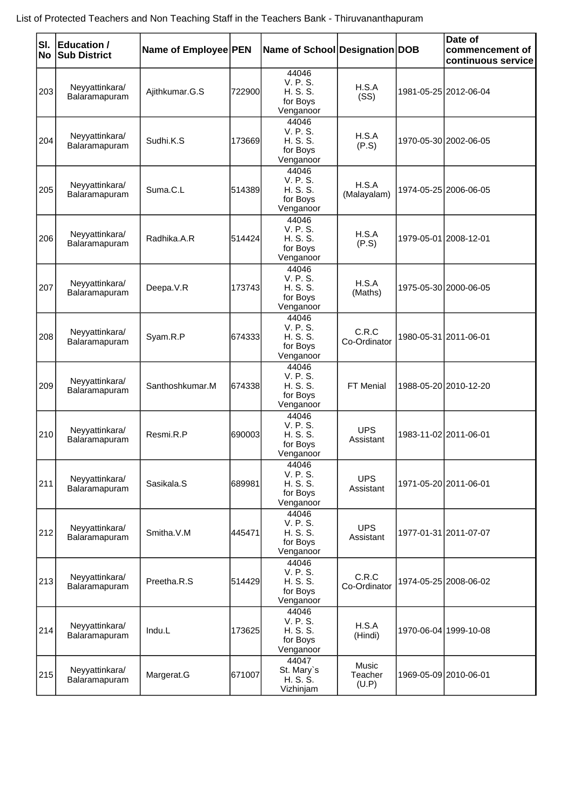| SI.<br>No | <b>Education /</b><br><b>Sub District</b> | Name of Employee PEN |        | Name of School Designation DOB                         |                                  | Date of<br>commencement of<br>continuous service |
|-----------|-------------------------------------------|----------------------|--------|--------------------------------------------------------|----------------------------------|--------------------------------------------------|
| 203       | Neyyattinkara/<br>Balaramapuram           | Ajithkumar.G.S       | 722900 | 44046<br>V. P. S.<br>H. S. S.<br>for Boys<br>Venganoor | H.S.A<br>(SS)                    | 1981-05-25 2012-06-04                            |
| 204       | Neyyattinkara/<br>Balaramapuram           | Sudhi.K.S            | 173669 | 44046<br>V. P. S.<br>H. S. S.<br>for Boys<br>Venganoor | H.S.A<br>(P.S)                   | 1970-05-30 2002-06-05                            |
| 205       | Neyyattinkara/<br>Balaramapuram           | Suma.C.L             | 514389 | 44046<br>V. P. S.<br>H. S. S.<br>for Boys<br>Venganoor | H.S.A<br>(Malayalam)             | 1974-05-25 2006-06-05                            |
| 206       | Neyyattinkara/<br>Balaramapuram           | Radhika.A.R          | 514424 | 44046<br>V. P. S.<br>H. S. S.<br>for Boys<br>Venganoor | H.S.A<br>(P.S)                   | 1979-05-01 2008-12-01                            |
| 207       | Neyyattinkara/<br>Balaramapuram           | Deepa.V.R            | 173743 | 44046<br>V. P. S.<br>H. S. S.<br>for Boys<br>Venganoor | H.S.A<br>(Maths)                 | 1975-05-30 2000-06-05                            |
| 208       | Neyyattinkara/<br>Balaramapuram           | Syam.R.P             | 674333 | 44046<br>V. P. S.<br>H. S. S.<br>for Boys<br>Venganoor | C.R.C<br>Co-Ordinator            | 1980-05-31 2011-06-01                            |
| 209       | Neyyattinkara/<br>Balaramapuram           | Santhoshkumar.M      | 674338 | 44046<br>V. P. S.<br>H. S. S.<br>for Boys<br>Venganoor | FT Menial                        | 1988-05-20 2010-12-20                            |
| 210       | Neyyattinkara/<br>Balaramapuram           | Resmi.R.P            | 690003 | 44046<br>V. P. S.<br>H. S. S.<br>for Boys<br>Venganoor | <b>UPS</b><br>Assistant          | 1983-11-02 2011-06-01                            |
| 211       | Neyyattinkara/<br>Balaramapuram           | Sasikala.S           | 689981 | 44046<br>V. P. S.<br>H. S. S.<br>for Boys<br>Venganoor | <b>UPS</b><br>Assistant          | 1971-05-20 2011-06-01                            |
| 212       | Neyyattinkara/<br>Balaramapuram           | Smitha.V.M           | 445471 | 44046<br>V. P. S.<br>H. S. S.<br>for Boys<br>Venganoor | <b>UPS</b><br>Assistant          | 1977-01-31 2011-07-07                            |
| 213       | Neyyattinkara/<br>Balaramapuram           | Preetha.R.S          | 514429 | 44046<br>V. P. S.<br>H. S. S.<br>for Boys<br>Venganoor | C.R.C<br>Co-Ordinator            | 1974-05-25 2008-06-02                            |
| 214       | Neyyattinkara/<br>Balaramapuram           | Indu.L               | 173625 | 44046<br>V. P. S.<br>H. S. S.<br>for Boys<br>Venganoor | H.S.A<br>(Hindi)                 | 1970-06-04 1999-10-08                            |
| 215       | Neyyattinkara/<br>Balaramapuram           | Margerat.G           | 671007 | 44047<br>St. Mary's<br>H. S. S.<br>Vizhinjam           | <b>Music</b><br>Teacher<br>(U.P) | 1969-05-09 2010-06-01                            |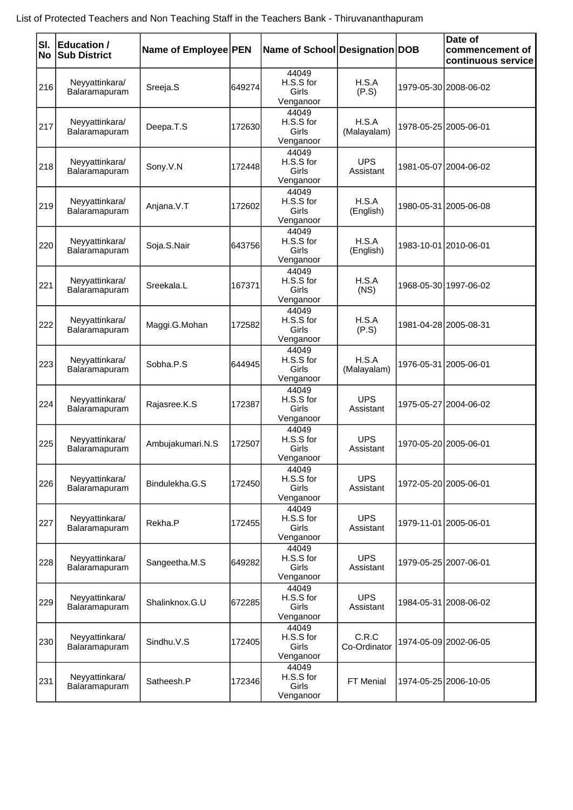| SI.<br>No | <b>Education /</b><br><b>Sub District</b> | Name of Employee PEN |        | Name of School Designation DOB           |                         | Date of<br>commencement of<br>continuous service |
|-----------|-------------------------------------------|----------------------|--------|------------------------------------------|-------------------------|--------------------------------------------------|
| 216       | Neyyattinkara/<br>Balaramapuram           | Sreeja.S             | 649274 | 44049<br>H.S.S for<br>Girls<br>Venganoor | H.S.A<br>(P.S)          | 1979-05-30 2008-06-02                            |
| 217       | Neyyattinkara/<br>Balaramapuram           | Deepa.T.S            | 172630 | 44049<br>H.S.S for<br>Girls<br>Venganoor | H.S.A<br>(Malayalam)    | 1978-05-25 2005-06-01                            |
| 218       | Neyyattinkara/<br>Balaramapuram           | Sony.V.N             | 172448 | 44049<br>H.S.S for<br>Girls<br>Venganoor | <b>UPS</b><br>Assistant | 1981-05-07 2004-06-02                            |
| 219       | Neyyattinkara/<br>Balaramapuram           | Anjana.V.T           | 172602 | 44049<br>H.S.S for<br>Girls<br>Venganoor | H.S.A<br>(English)      | 1980-05-31 2005-06-08                            |
| 220       | Neyyattinkara/<br>Balaramapuram           | Soja.S.Nair          | 643756 | 44049<br>H.S.S for<br>Girls<br>Venganoor | H.S.A<br>(English)      | 1983-10-01 2010-06-01                            |
| 221       | Neyyattinkara/<br>Balaramapuram           | Sreekala.L           | 167371 | 44049<br>H.S.S for<br>Girls<br>Venganoor | H.S.A<br>(NS)           | 1968-05-30 1997-06-02                            |
| 222       | Neyyattinkara/<br>Balaramapuram           | Maggi.G.Mohan        | 172582 | 44049<br>H.S.S for<br>Girls<br>Venganoor | H.S.A<br>(P.S)          | 1981-04-28 2005-08-31                            |
| 223       | Neyyattinkara/<br>Balaramapuram           | Sobha.P.S            | 644945 | 44049<br>H.S.S for<br>Girls<br>Venganoor | H.S.A<br>(Malayalam)    | 1976-05-31 2005-06-01                            |
| 224       | Neyyattinkara/<br>Balaramapuram           | Rajasree.K.S         | 172387 | 44049<br>H.S.S for<br>Girls<br>Venganoor | <b>UPS</b><br>Assistant | 1975-05-27 2004-06-02                            |
| 225       | Neyyattinkara/<br>Balaramapuram           | Ambujakumari.N.S     | 172507 | 44049<br>H.S.S for<br>Girls<br>Venganoor | <b>UPS</b><br>Assistant | 1970-05-20 2005-06-01                            |
| 226       | Neyyattinkara/<br>Balaramapuram           | Bindulekha.G.S       | 172450 | 44049<br>H.S.S for<br>Girls<br>Venganoor | <b>UPS</b><br>Assistant | 1972-05-20 2005-06-01                            |
| 227       | Neyyattinkara/<br>Balaramapuram           | Rekha.P              | 172455 | 44049<br>H.S.S for<br>Girls<br>Venganoor | <b>UPS</b><br>Assistant | 1979-11-01 2005-06-01                            |
| 228       | Neyyattinkara/<br>Balaramapuram           | Sangeetha.M.S        | 649282 | 44049<br>H.S.S for<br>Girls<br>Venganoor | <b>UPS</b><br>Assistant | 1979-05-25 2007-06-01                            |
| 229       | Neyyattinkara/<br>Balaramapuram           | Shalinknox.G.U       | 672285 | 44049<br>H.S.S for<br>Girls<br>Venganoor | <b>UPS</b><br>Assistant | 1984-05-31 2008-06-02                            |
| 230       | Neyyattinkara/<br>Balaramapuram           | Sindhu.V.S           | 172405 | 44049<br>H.S.S for<br>Girls<br>Venganoor | C.R.C<br>Co-Ordinator   | 1974-05-09 2002-06-05                            |
| 231       | Neyyattinkara/<br>Balaramapuram           | Satheesh.P           | 172346 | 44049<br>H.S.S for<br>Girls<br>Venganoor | FT Menial               | 1974-05-25 2006-10-05                            |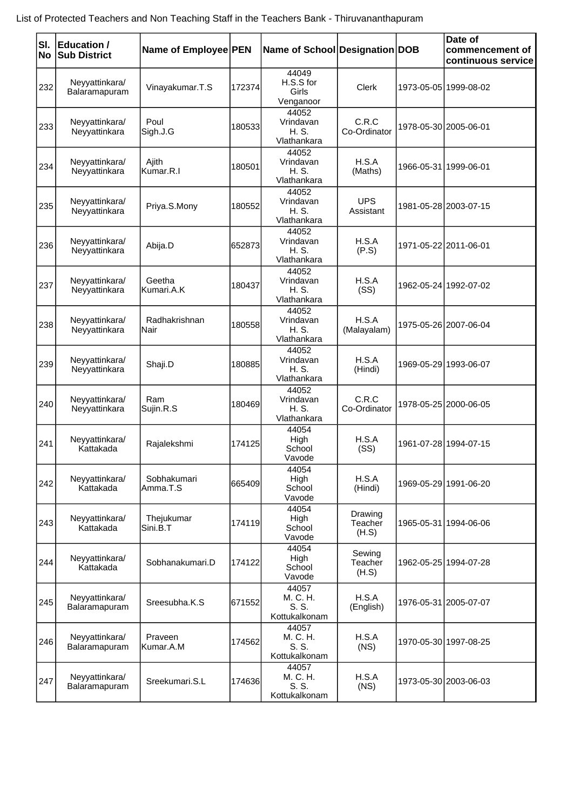| List of Protected Teachers and Non Teaching Staff in the Teachers Bank - Thiruvananthapuram |  |
|---------------------------------------------------------------------------------------------|--|
|---------------------------------------------------------------------------------------------|--|

| SI.<br>No | <b>Education /</b><br><b>Sub District</b> | Name of Employee PEN    |        | Name of School Designation DOB              |                             |            | Date of<br>commencement of<br>continuous service |
|-----------|-------------------------------------------|-------------------------|--------|---------------------------------------------|-----------------------------|------------|--------------------------------------------------|
| 232       | Neyyattinkara/<br>Balaramapuram           | Vinayakumar.T.S         | 172374 | 44049<br>H.S.S for<br>Girls<br>Venganoor    | Clerk                       | 1973-05-05 | 1999-08-02                                       |
| 233       | Neyyattinkara/<br>Neyyattinkara           | Poul<br>Sigh.J.G        | 180533 | 44052<br>Vrindavan<br>H. S.<br>Vlathankara  | C.R.C<br>Co-Ordinator       |            | 1978-05-30 2005-06-01                            |
| 234       | Neyyattinkara/<br>Neyyattinkara           | Ajith<br>Kumar.R.I      | 180501 | 44052<br>Vrindavan<br>H. S.<br>Vlathankara  | H.S.A<br>(Maths)            |            | 1966-05-31 1999-06-01                            |
| 235       | Neyyattinkara/<br>Neyyattinkara           | Priya.S.Mony            | 180552 | 44052<br>Vrindavan<br>H. S.<br>Vlathankara  | <b>UPS</b><br>Assistant     |            | 1981-05-28 2003-07-15                            |
| 236       | Neyyattinkara/<br>Neyyattinkara           | Abija.D                 | 652873 | 44052<br>Vrindavan<br>H. S.<br>Vlathankara  | H.S.A<br>(P.S)              |            | 1971-05-22 2011-06-01                            |
| 237       | Neyyattinkara/<br>Neyyattinkara           | Geetha<br>Kumari.A.K    | 180437 | 44052<br>Vrindavan<br>H. S.<br>Vlathankara  | H.S.A<br>(SS)               |            | 1962-05-24 1992-07-02                            |
| 238       | Neyyattinkara/<br>Neyyattinkara           | Radhakrishnan<br>Nair   | 180558 | 44052<br>Vrindavan<br>H. S.<br>Vlathankara  | H.S.A<br>(Malayalam)        |            | 1975-05-26 2007-06-04                            |
| 239       | Neyyattinkara/<br>Neyyattinkara           | Shaji.D                 | 180885 | 44052<br>Vrindavan<br>H. S.<br>Vlathankara  | H.S.A<br>(Hindi)            |            | 1969-05-29 1993-06-07                            |
| 240       | Neyyattinkara/<br>Neyyattinkara           | Ram<br>Sujin.R.S        | 180469 | 44052<br>Vrindavan<br>H. S.<br>Vlathankara  | C.R.C<br>Co-Ordinator       |            | 1978-05-25 2000-06-05                            |
| 241       | Neyyattinkara/<br>Kattakada               | Rajalekshmi             | 174125 | 44054<br>High<br>School<br>Vavode           | H.S.A<br>(SS)               |            | 1961-07-28 1994-07-15                            |
| 242       | Neyyattinkara/<br>Kattakada               | Sobhakumari<br>Amma.T.S | 665409 | 44054<br>High<br>School<br>Vavode           | H.S.A<br>(Hindi)            |            | 1969-05-29 1991-06-20                            |
| 243       | Neyyattinkara/<br>Kattakada               | Thejukumar<br>Sini.B.T  | 174119 | 44054<br>High<br>School<br>Vavode           | Drawing<br>Teacher<br>(H.S) |            | 1965-05-31 1994-06-06                            |
| 244       | Neyyattinkara/<br>Kattakada               | Sobhanakumari.D         | 174122 | 44054<br>High<br>School<br>Vavode           | Sewing<br>Teacher<br>(H.S)  |            | 1962-05-25 1994-07-28                            |
| 245       | Neyyattinkara/<br>Balaramapuram           | Sreesubha.K.S           | 671552 | 44057<br>M. C. H.<br>S. S.<br>Kottukalkonam | H.S.A<br>(English)          |            | 1976-05-31 2005-07-07                            |
| 246       | Neyyattinkara/<br>Balaramapuram           | Praveen<br>Kumar.A.M    | 174562 | 44057<br>M. C. H.<br>S. S.<br>Kottukalkonam | H.S.A<br>(NS)               |            | 1970-05-30 1997-08-25                            |
| 247       | Neyyattinkara/<br>Balaramapuram           | Sreekumari.S.L          | 174636 | 44057<br>M. C. H.<br>S. S.<br>Kottukalkonam | H.S.A<br>(NS)               |            | 1973-05-30 2003-06-03                            |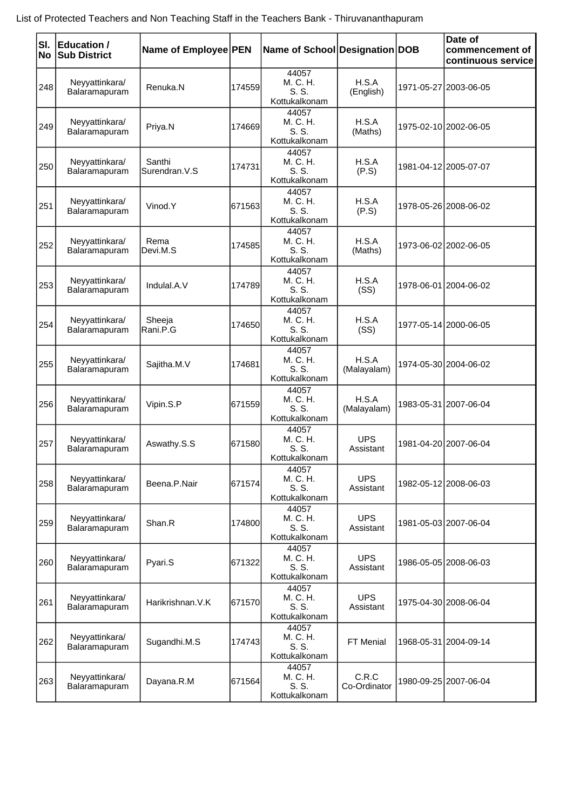|  |  |  |  | List of Protected Teachers and Non Teaching Staff in the Teachers Bank - Thiruvananthapuram |
|--|--|--|--|---------------------------------------------------------------------------------------------|
|--|--|--|--|---------------------------------------------------------------------------------------------|

| SI.<br>No | <b>Education /</b><br><b>Sub District</b> | Name of Employee PEN    |        | Name of School Designation DOB              |                         | Date of<br>commencement of<br>continuous service |
|-----------|-------------------------------------------|-------------------------|--------|---------------------------------------------|-------------------------|--------------------------------------------------|
| 248       | Neyyattinkara/<br>Balaramapuram           | Renuka.N                | 174559 | 44057<br>M. C. H.<br>S. S.<br>Kottukalkonam | H.S.A<br>(English)      | 1971-05-27 2003-06-05                            |
| 249       | Neyyattinkara/<br>Balaramapuram           | Priya.N                 | 174669 | 44057<br>M. C. H.<br>S. S.<br>Kottukalkonam | H.S.A<br>(Maths)        | 1975-02-10 2002-06-05                            |
| 250       | Neyyattinkara/<br>Balaramapuram           | Santhi<br>Surendran.V.S | 174731 | 44057<br>M. C. H.<br>S. S.<br>Kottukalkonam | H.S.A<br>(P.S)          | 1981-04-12 2005-07-07                            |
| 251       | Neyyattinkara/<br>Balaramapuram           | Vinod.Y                 | 671563 | 44057<br>M. C. H.<br>S. S.<br>Kottukalkonam | H.S.A<br>(P.S)          | 1978-05-26 2008-06-02                            |
| 252       | Neyyattinkara/<br>Balaramapuram           | Rema<br>Devi.M.S        | 174585 | 44057<br>M. C. H.<br>S. S.<br>Kottukalkonam | H.S.A<br>(Maths)        | 1973-06-02 2002-06-05                            |
| 253       | Neyyattinkara/<br>Balaramapuram           | Indulal.A.V             | 174789 | 44057<br>M. C. H.<br>S. S.<br>Kottukalkonam | H.S.A<br>(SS)           | 1978-06-01 2004-06-02                            |
| 254       | Neyyattinkara/<br>Balaramapuram           | Sheeja<br>Rani.P.G      | 174650 | 44057<br>M. C. H.<br>S. S.<br>Kottukalkonam | H.S.A<br>(SS)           | 1977-05-14 2000-06-05                            |
| 255       | Neyyattinkara/<br>Balaramapuram           | Sajitha.M.V             | 174681 | 44057<br>M. C. H.<br>S. S.<br>Kottukalkonam | H.S.A<br>(Malayalam)    | 1974-05-30 2004-06-02                            |
| 256       | Neyyattinkara/<br>Balaramapuram           | Vipin.S.P               | 671559 | 44057<br>M. C. H.<br>S. S.<br>Kottukalkonam | H.S.A<br>(Malayalam)    | 1983-05-31 2007-06-04                            |
| 257       | Neyyattinkara/<br>Balaramapuram           | Aswathy.S.S             | 671580 | 44057<br>M. C. H.<br>S. S.<br>Kottukalkonam | <b>UPS</b><br>Assistant | 1981-04-20 2007-06-04                            |
| 258       | Neyyattinkara/<br>Balaramapuram           | Beena.P.Nair            | 671574 | 44057<br>M. C. H.<br>S. S.<br>Kottukalkonam | <b>UPS</b><br>Assistant | 1982-05-12 2008-06-03                            |
| 259       | Neyyattinkara/<br>Balaramapuram           | Shan.R                  | 174800 | 44057<br>M. C. H.<br>S. S.<br>Kottukalkonam | <b>UPS</b><br>Assistant | 1981-05-03 2007-06-04                            |
| 260       | Neyyattinkara/<br>Balaramapuram           | Pyari.S                 | 671322 | 44057<br>M. C. H.<br>S. S.<br>Kottukalkonam | <b>UPS</b><br>Assistant | 1986-05-05 2008-06-03                            |
| 261       | Neyyattinkara/<br>Balaramapuram           | Harikrishnan. V.K       | 671570 | 44057<br>M. C. H.<br>S. S.<br>Kottukalkonam | <b>UPS</b><br>Assistant | 1975-04-30 2008-06-04                            |
| 262       | Neyyattinkara/<br>Balaramapuram           | Sugandhi.M.S            | 174743 | 44057<br>M. C. H.<br>S. S.<br>Kottukalkonam | FT Menial               | 1968-05-31 2004-09-14                            |
| 263       | Neyyattinkara/<br>Balaramapuram           | Dayana.R.M              | 671564 | 44057<br>M. C. H.<br>S. S.<br>Kottukalkonam | C.R.C<br>Co-Ordinator   | 1980-09-25 2007-06-04                            |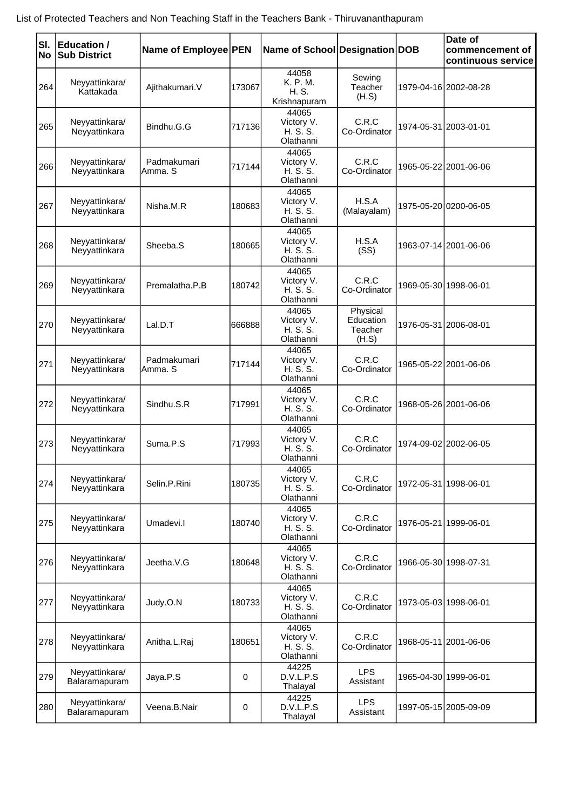| List of Protected Teachers and Non Teaching Staff in the Teachers Bank - Thiruvananthapuram |  |
|---------------------------------------------------------------------------------------------|--|
|---------------------------------------------------------------------------------------------|--|

| SI. | <b>Education /</b>              |                        |        |                                              |                                           |            | Date of                               |
|-----|---------------------------------|------------------------|--------|----------------------------------------------|-------------------------------------------|------------|---------------------------------------|
| No  | <b>Sub District</b>             | Name of Employee PEN   |        | Name of School Designation DOB               |                                           |            | commencement of<br>continuous service |
| 264 | Neyyattinkara/<br>Kattakada     | Ajithakumari.V         | 173067 | 44058<br>K. P. M.<br>H. S.<br>Krishnapuram   | Sewing<br>Teacher<br>(H.S)                |            | 1979-04-16 2002-08-28                 |
| 265 | Neyyattinkara/<br>Neyyattinkara | Bindhu.G.G             | 717136 | 44065<br>Victory V.<br>H.S.S.<br>Olathanni   | C.R.C<br>Co-Ordinator                     |            | 1974-05-31 2003-01-01                 |
| 266 | Neyyattinkara/<br>Neyyattinkara | Padmakumari<br>Amma, S | 717144 | 44065<br>Victory V.<br>H. S. S.<br>Olathanni | C.R.C<br>Co-Ordinator                     |            | 1965-05-22 2001-06-06                 |
| 267 | Neyyattinkara/<br>Neyyattinkara | Nisha.M.R              | 180683 | 44065<br>Victory V.<br>H. S. S.<br>Olathanni | H.S.A<br>(Malayalam)                      |            | 1975-05-20 0200-06-05                 |
| 268 | Neyyattinkara/<br>Neyyattinkara | Sheeba.S               | 180665 | 44065<br>Victory V.<br>H. S. S.<br>Olathanni | H.S.A<br>(SS)                             |            | 1963-07-14 2001-06-06                 |
| 269 | Neyyattinkara/<br>Neyyattinkara | Premalatha, P.B        | 180742 | 44065<br>Victory V.<br>H. S. S.<br>Olathanni | C.R.C<br>Co-Ordinator                     |            | 1969-05-30 1998-06-01                 |
| 270 | Neyyattinkara/<br>Neyyattinkara | Lal.D.T                | 666888 | 44065<br>Victory V.<br>H. S. S.<br>Olathanni | Physical<br>Education<br>Teacher<br>(H.S) |            | 1976-05-31 2006-08-01                 |
| 271 | Neyyattinkara/<br>Neyyattinkara | Padmakumari<br>Amma. S | 717144 | 44065<br>Victory V.<br>H. S. S.<br>Olathanni | C.R.C<br>Co-Ordinator                     |            | 1965-05-22 2001-06-06                 |
| 272 | Neyyattinkara/<br>Neyyattinkara | Sindhu.S.R             | 717991 | 44065<br>Victory V.<br>H.S.S.<br>Olathanni   | C.R.C<br>Co-Ordinator                     |            | 1968-05-26 2001-06-06                 |
| 273 | Neyyattinkara/<br>Neyyattinkara | Suma.P.S               | 717993 | 44065<br>Victory V.<br>H. S. S.<br>Olathanni | C.R.C<br>Co-Ordinator                     |            | 1974-09-02 2002-06-05                 |
| 274 | Neyyattinkara/<br>Neyyattinkara | Selin.P.Rini           | 180735 | 44065<br>Victory V.<br>H.S.S.<br>Olathanni   | C.R.C<br>Co-Ordinator                     |            | 1972-05-31 1998-06-01                 |
| 275 | Neyyattinkara/<br>Neyyattinkara | Umadevi.l              | 180740 | 44065<br>Victory V.<br>H. S. S.<br>Olathanni | C.R.C<br>Co-Ordinator                     |            | 1976-05-21 1999-06-01                 |
| 276 | Neyyattinkara/<br>Neyyattinkara | Jeetha.V.G             | 180648 | 44065<br>Victory V.<br>H.S.S.<br>Olathanni   | C.R.C<br>Co-Ordinator                     |            | 1966-05-30 1998-07-31                 |
| 277 | Neyyattinkara/<br>Neyyattinkara | Judy.O.N               | 180733 | 44065<br>Victory V.<br>H. S. S.<br>Olathanni | C.R.C<br>Co-Ordinator                     |            | 1973-05-03 1998-06-01                 |
| 278 | Neyyattinkara/<br>Neyyattinkara | Anitha.L.Raj           | 180651 | 44065<br>Victory V.<br>H. S. S.<br>Olathanni | C.R.C<br>Co-Ordinator                     |            | 1968-05-11 2001-06-06                 |
| 279 | Neyyattinkara/<br>Balaramapuram | Jaya.P.S               | 0      | 44225<br>D.V.L.P.S<br>Thalayal               | <b>LPS</b><br>Assistant                   | 1965-04-30 | 1999-06-01                            |
| 280 | Neyyattinkara/<br>Balaramapuram | Veena.B.Nair           | 0      | 44225<br>D.V.L.P.S<br>Thalayal               | <b>LPS</b><br>Assistant                   |            | 1997-05-15 2005-09-09                 |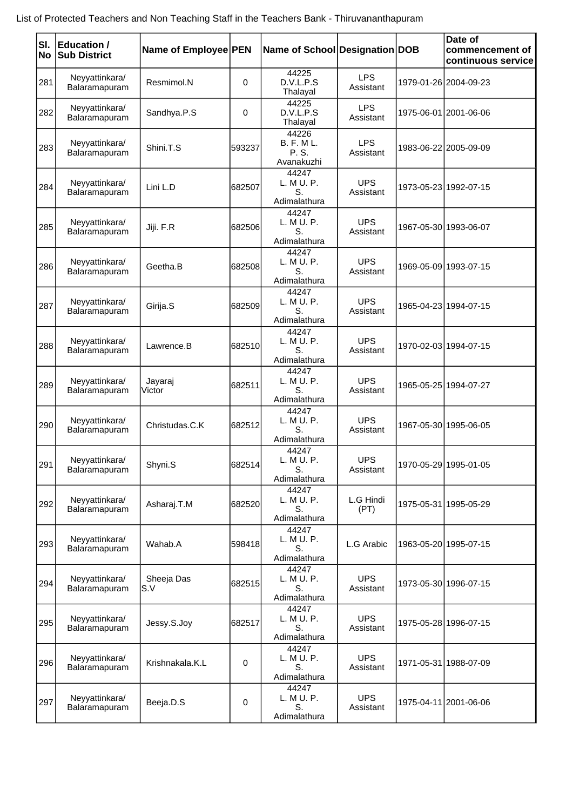| SI.<br><b>No</b> | <b>Education /</b><br><b>Sub District</b> | Name of Employee PEN |        | Name of School Designation DOB                   |                         | Date of<br>commencement of<br>continuous service |
|------------------|-------------------------------------------|----------------------|--------|--------------------------------------------------|-------------------------|--------------------------------------------------|
| 281              | Neyyattinkara/<br>Balaramapuram           | Resmimol.N           | 0      | 44225<br>D.V.L.P.S<br>Thalayal                   | LPS<br>Assistant        | 1979-01-26 2004-09-23                            |
| 282              | Neyyattinkara/<br>Balaramapuram           | Sandhya.P.S          | 0      | 44225<br>D.V.L.P.S<br>Thalayal                   | <b>LPS</b><br>Assistant | 1975-06-01 2001-06-06                            |
| 283              | Neyyattinkara/<br>Balaramapuram           | Shini.T.S            | 593237 | 44226<br><b>B. F. ML.</b><br>P. S.<br>Avanakuzhi | <b>LPS</b><br>Assistant | 1983-06-22 2005-09-09                            |
| 284              | Neyyattinkara/<br>Balaramapuram           | Lini L.D             | 682507 | 44247<br>L. M U. P.<br>S.<br>Adimalathura        | <b>UPS</b><br>Assistant | 1973-05-23 1992-07-15                            |
| 285              | Neyyattinkara/<br>Balaramapuram           | Jiji. F.R            | 682506 | 44247<br>L. M U. P.<br>S.<br>Adimalathura        | <b>UPS</b><br>Assistant | 1967-05-30 1993-06-07                            |
| 286              | Neyyattinkara/<br>Balaramapuram           | Geetha.B             | 682508 | 44247<br>L. M U. P.<br>S.<br>Adimalathura        | <b>UPS</b><br>Assistant | 1969-05-09 1993-07-15                            |
| 287              | Neyyattinkara/<br>Balaramapuram           | Girija.S             | 682509 | 44247<br>L. M U. P.<br>S.<br>Adimalathura        | <b>UPS</b><br>Assistant | 1965-04-23 1994-07-15                            |
| 288              | Neyyattinkara/<br>Balaramapuram           | Lawrence.B           | 682510 | 44247<br>L. M U. P.<br>S.<br>Adimalathura        | <b>UPS</b><br>Assistant | 1970-02-03 1994-07-15                            |
| 289              | Neyyattinkara/<br>Balaramapuram           | Jayaraj<br>Victor    | 682511 | 44247<br>L. M U. P.<br>S.<br>Adimalathura        | <b>UPS</b><br>Assistant | 1965-05-25 1994-07-27                            |
| 290              | Neyyattinkara/<br>Balaramapuram           | Christudas.C.K       | 682512 | 44247<br>L. M U. P.<br>S.<br>Adimalathura        | <b>UPS</b><br>Assistant | 1967-05-30 1995-06-05                            |
| 291              | Neyyattinkara/<br>Balaramapuram           | Shyni.S              | 682514 | 44247<br>L. M U. P.<br>S.<br>Adimalathura        | <b>UPS</b><br>Assistant | 1970-05-29 1995-01-05                            |
| 292              | Neyyattinkara/<br>Balaramapuram           | Asharaj.T.M          | 682520 | 44247<br>L. M U. P.<br>S.<br>Adimalathura        | L.G Hindi<br>(PT)       | 1975-05-31   1995-05-29                          |
| 293              | Neyyattinkara/<br>Balaramapuram           | Wahab.A              | 598418 | 44247<br>L. M U. P.<br>S.<br>Adimalathura        | L.G Arabic              | 1963-05-20 1995-07-15                            |
| 294              | Neyyattinkara/<br>Balaramapuram           | Sheeja Das<br>S.V    | 682515 | 44247<br>L. M U. P.<br>S.<br>Adimalathura        | <b>UPS</b><br>Assistant | 1973-05-30 1996-07-15                            |
| 295              | Neyyattinkara/<br>Balaramapuram           | Jessy.S.Joy          | 682517 | 44247<br>L. M U. P.<br>S.<br>Adimalathura        | <b>UPS</b><br>Assistant | 1975-05-28 1996-07-15                            |
| 296              | Neyyattinkara/<br>Balaramapuram           | Krishnakala.K.L      | 0      | 44247<br>L. M U. P.<br>S.<br>Adimalathura        | <b>UPS</b><br>Assistant | 1971-05-31 1988-07-09                            |
| 297              | Neyyattinkara/<br>Balaramapuram           | Beeja.D.S            | 0      | 44247<br>L. M U. P.<br>S.<br>Adimalathura        | <b>UPS</b><br>Assistant | 1975-04-11 2001-06-06                            |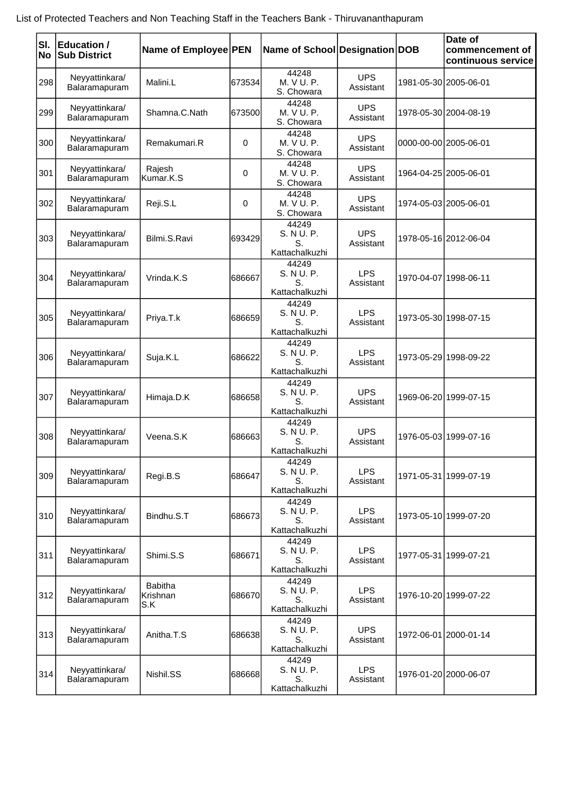| SI.<br>No | <b>Education /</b><br><b>Sub District</b> | Name of Employee PEN              |        | Name of School Designation DOB              |                         |                       | Date of<br>commencement of<br>continuous service |
|-----------|-------------------------------------------|-----------------------------------|--------|---------------------------------------------|-------------------------|-----------------------|--------------------------------------------------|
| 298       | Neyyattinkara/<br>Balaramapuram           | Malini.L                          | 673534 | 44248<br>M. V U. P.<br>S. Chowara           | <b>UPS</b><br>Assistant |                       | 1981-05-30 2005-06-01                            |
| 299       | Neyyattinkara/<br>Balaramapuram           | Shamna.C.Nath                     | 673500 | 44248<br>M. V U. P.<br>S. Chowara           | <b>UPS</b><br>Assistant |                       | 1978-05-30 2004-08-19                            |
| 300       | Neyyattinkara/<br>Balaramapuram           | Remakumari.R                      | 0      | 44248<br>M. V U. P.<br>S. Chowara           | <b>UPS</b><br>Assistant | 0000-00-00 2005-06-01 |                                                  |
| 301       | Neyyattinkara/<br>Balaramapuram           | Rajesh<br>Kumar.K.S               | 0      | 44248<br>M. V U. P.<br>S. Chowara           | <b>UPS</b><br>Assistant |                       | 1964-04-25 2005-06-01                            |
| 302       | Neyyattinkara/<br>Balaramapuram           | Reji.S.L                          | 0      | 44248<br>M. V U. P.<br>S. Chowara           | <b>UPS</b><br>Assistant |                       | 1974-05-03 2005-06-01                            |
| 303       | Neyyattinkara/<br>Balaramapuram           | Bilmi.S.Ravi                      | 693429 | 44249<br>S. N U. P.<br>S.<br>Kattachalkuzhi | <b>UPS</b><br>Assistant |                       | 1978-05-16 2012-06-04                            |
| 304       | Neyyattinkara/<br>Balaramapuram           | Vrinda.K.S                        | 686667 | 44249<br>S. N U. P.<br>S.<br>Kattachalkuzhi | <b>LPS</b><br>Assistant |                       | 1970-04-07 1998-06-11                            |
| 305       | Neyyattinkara/<br>Balaramapuram           | Priya.T.k                         | 686659 | 44249<br>S. N U. P.<br>S.<br>Kattachalkuzhi | <b>LPS</b><br>Assistant |                       | 1973-05-30 1998-07-15                            |
| 306       | Neyyattinkara/<br>Balaramapuram           | Suja.K.L                          | 686622 | 44249<br>S. N U. P.<br>S.<br>Kattachalkuzhi | <b>LPS</b><br>Assistant |                       | 1973-05-29 1998-09-22                            |
| 307       | Neyyattinkara/<br>Balaramapuram           | Himaja.D.K                        | 686658 | 44249<br>S. N U. P.<br>S.<br>Kattachalkuzhi | <b>UPS</b><br>Assistant |                       | 1969-06-20 1999-07-15                            |
| 308       | Neyyattinkara/<br>Balaramapuram           | Veena, S.K                        | 686663 | 44249<br>S. N U. P.<br>S.<br>Kattachalkuzhi | <b>UPS</b><br>Assistant |                       | 1976-05-03 1999-07-16                            |
| 309       | Neyyattinkara/<br>Balaramapuram           | Regi.B.S                          | 686647 | 44249<br>S. N U. P.<br>S.<br>Kattachalkuzhi | <b>LPS</b><br>Assistant |                       | 1971-05-31 1999-07-19                            |
| 310       | Neyyattinkara/<br>Balaramapuram           | Bindhu.S.T                        | 686673 | 44249<br>S. N U. P.<br>S.<br>Kattachalkuzhi | <b>LPS</b><br>Assistant |                       | 1973-05-10 1999-07-20                            |
| 311       | Neyyattinkara/<br>Balaramapuram           | Shimi.S.S                         | 686671 | 44249<br>S. N U. P.<br>S.<br>Kattachalkuzhi | <b>LPS</b><br>Assistant |                       | 1977-05-31 1999-07-21                            |
| 312       | Neyyattinkara/<br>Balaramapuram           | <b>Babitha</b><br>Krishnan<br>S.K | 686670 | 44249<br>S. N U. P.<br>S.<br>Kattachalkuzhi | <b>LPS</b><br>Assistant |                       | 1976-10-20 1999-07-22                            |
| 313       | Neyyattinkara/<br>Balaramapuram           | Anitha.T.S                        | 686638 | 44249<br>S. N U. P.<br>S.<br>Kattachalkuzhi | <b>UPS</b><br>Assistant |                       | 1972-06-01 2000-01-14                            |
| 314       | Neyyattinkara/<br>Balaramapuram           | Nishil.SS                         | 686668 | 44249<br>S. N U. P.<br>S.<br>Kattachalkuzhi | <b>LPS</b><br>Assistant |                       | 1976-01-20 2000-06-07                            |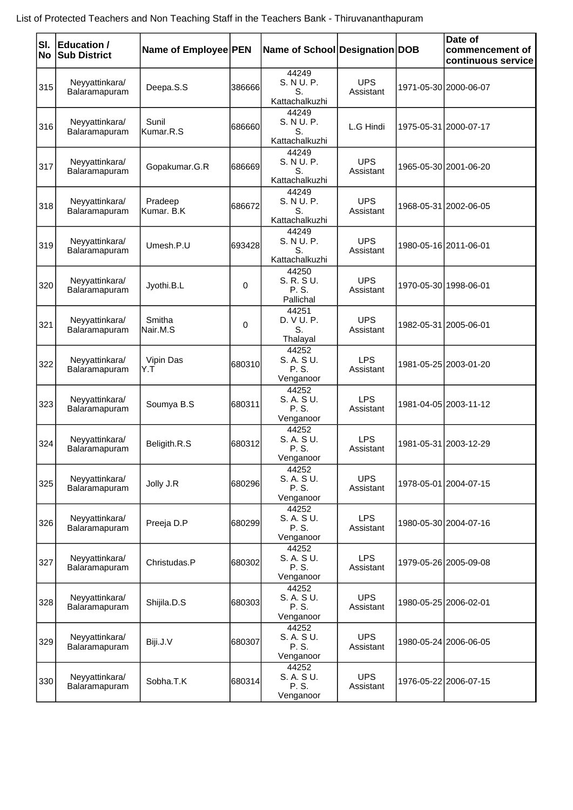| SI.<br>No | Education /<br><b>Sub District</b> | Name of Employee PEN  |        | Name of School Designation DOB              |                         |                       | Date of<br>commencement of<br>continuous service |
|-----------|------------------------------------|-----------------------|--------|---------------------------------------------|-------------------------|-----------------------|--------------------------------------------------|
| 315       | Neyyattinkara/<br>Balaramapuram    | Deepa.S.S             | 386666 | 44249<br>S. N U. P.<br>S.<br>Kattachalkuzhi | <b>UPS</b><br>Assistant |                       | 1971-05-30 2000-06-07                            |
| 316       | Neyyattinkara/<br>Balaramapuram    | Sunil<br>Kumar.R.S    | 686660 | 44249<br>S. N U. P.<br>S.<br>Kattachalkuzhi | L.G Hindi               |                       | 1975-05-31 2000-07-17                            |
| 317       | Neyyattinkara/<br>Balaramapuram    | Gopakumar.G.R         | 686669 | 44249<br>S. N U. P.<br>S.<br>Kattachalkuzhi | <b>UPS</b><br>Assistant |                       | 1965-05-30 2001-06-20                            |
| 318       | Neyyattinkara/<br>Balaramapuram    | Pradeep<br>Kumar. B.K | 686672 | 44249<br>S. N U. P.<br>S.<br>Kattachalkuzhi | <b>UPS</b><br>Assistant |                       | 1968-05-31 2002-06-05                            |
| 319       | Neyyattinkara/<br>Balaramapuram    | Umesh.P.U             | 693428 | 44249<br>S. N U. P.<br>S.<br>Kattachalkuzhi | <b>UPS</b><br>Assistant |                       | 1980-05-16 2011-06-01                            |
| 320       | Neyyattinkara/<br>Balaramapuram    | Jyothi.B.L            | 0      | 44250<br>S. R. S U.<br>P. S.<br>Pallichal   | <b>UPS</b><br>Assistant | 1970-05-30 1998-06-01 |                                                  |
| 321       | Neyyattinkara/<br>Balaramapuram    | Smitha<br>Nair.M.S    | 0      | 44251<br>D. V U. P.<br>S.<br>Thalayal       | <b>UPS</b><br>Assistant |                       | 1982-05-31 2005-06-01                            |
| 322       | Neyyattinkara/<br>Balaramapuram    | Vipin Das<br>Y.T      | 680310 | 44252<br>S. A. SU.<br>P. S.<br>Venganoor    | <b>LPS</b><br>Assistant |                       | 1981-05-25 2003-01-20                            |
| 323       | Neyyattinkara/<br>Balaramapuram    | Soumya B.S            | 680311 | 44252<br>S. A. SU.<br>P. S.<br>Venganoor    | <b>LPS</b><br>Assistant |                       | 1981-04-05 2003-11-12                            |
| 324       | Neyyattinkara/<br>Balaramapuram    | Beligith.R.S          | 680312 | 44252<br>S. A. S U.<br>P. S.<br>Venganoor   | <b>LPS</b><br>Assistant |                       | 1981-05-31 2003-12-29                            |
| 325       | Neyyattinkara/<br>Balaramapuram    | Jolly J.R             | 680296 | 44252<br>S. A. S U.<br>P. S.<br>Venganoor   | <b>UPS</b><br>Assistant |                       | 1978-05-01 2004-07-15                            |
| 326       | Neyyattinkara/<br>Balaramapuram    | Preeja D.P            | 680299 | 44252<br>S. A. S U.<br>P. S.<br>Venganoor   | <b>LPS</b><br>Assistant |                       | 1980-05-30 2004-07-16                            |
| 327       | Neyyattinkara/<br>Balaramapuram    | Christudas.P          | 680302 | 44252<br>S. A. S U.<br>P. S.<br>Venganoor   | <b>LPS</b><br>Assistant |                       | 1979-05-26 2005-09-08                            |
| 328       | Neyyattinkara/<br>Balaramapuram    | Shijila.D.S           | 680303 | 44252<br>S. A. S U.<br>P. S.<br>Venganoor   | <b>UPS</b><br>Assistant |                       | 1980-05-25 2006-02-01                            |
| 329       | Neyyattinkara/<br>Balaramapuram    | Biji.J.V              | 680307 | 44252<br>S. A. S U.<br>P. S.<br>Venganoor   | <b>UPS</b><br>Assistant |                       | 1980-05-24 2006-06-05                            |
| 330       | Neyyattinkara/<br>Balaramapuram    | Sobha.T.K             | 680314 | 44252<br>S. A. S U.<br>P. S.<br>Venganoor   | <b>UPS</b><br>Assistant |                       | 1976-05-22 2006-07-15                            |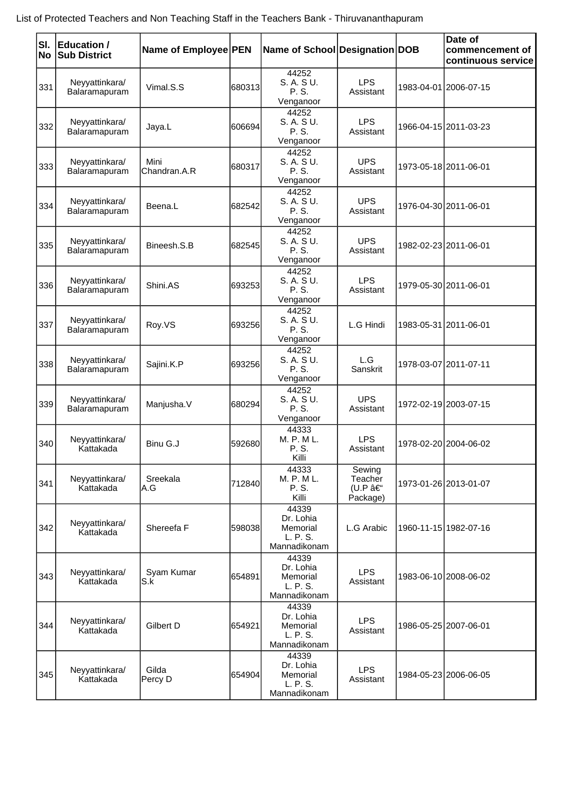|     | SI. Education /<br><b>No Sub District</b> | Name of Employee PEN  |        | Name of School Designation DOB                             |                                         | Date of<br>commencement of<br>continuous service |
|-----|-------------------------------------------|-----------------------|--------|------------------------------------------------------------|-----------------------------------------|--------------------------------------------------|
| 331 | Neyyattinkara/<br>Balaramapuram           | Vimal.S.S             | 680313 | 44252<br>S. A. SU.<br>P. S.<br>Venganoor                   | <b>LPS</b><br>Assistant                 | 1983-04-01 2006-07-15                            |
| 332 | Neyyattinkara/<br>Balaramapuram           | Jaya.L                | 606694 | 44252<br>S. A. S U.<br>P. S.<br>Venganoor                  | <b>LPS</b><br>Assistant                 | 1966-04-15 2011-03-23                            |
| 333 | Neyyattinkara/<br>Balaramapuram           | Mini<br>Chandran.A.R  | 680317 | 44252<br>S. A. S U.<br>P. S.<br>Venganoor                  | <b>UPS</b><br>Assistant                 | 1973-05-18 2011-06-01                            |
| 334 | Neyyattinkara/<br>Balaramapuram           | Beena.L               | 682542 | 44252<br>S. A. S U.<br>P. S.<br>Venganoor                  | <b>UPS</b><br>Assistant                 | 1976-04-30 2011-06-01                            |
| 335 | Neyyattinkara/<br>Balaramapuram           | Bineesh.S.B           | 682545 | 44252<br>S. A. S U.<br>P. S.<br>Venganoor                  | <b>UPS</b><br>Assistant                 | 1982-02-23 2011-06-01                            |
| 336 | Neyyattinkara/<br>Balaramapuram           | Shini.AS              | 693253 | 44252<br>S. A. S U.<br>P. S.<br>Venganoor                  | <b>LPS</b><br>Assistant                 | 1979-05-30 2011-06-01                            |
| 337 | Neyyattinkara/<br>Balaramapuram           | Roy.VS                | 693256 | 44252<br>S. A. S U.<br>P. S.<br>Venganoor                  | L.G Hindi                               | 1983-05-31 2011-06-01                            |
| 338 | Neyyattinkara/<br>Balaramapuram           | Sajini.K.P            | 693256 | 44252<br>S. A. SU.<br>P. S.<br>Venganoor                   | L.G<br>Sanskrit                         | 1978-03-07 2011-07-11                            |
| 339 | Neyyattinkara/<br>Balaramapuram           | Manjusha.V            | 680294 | 44252<br>S. A. SU.<br>P. S.<br>Venganoor                   | <b>UPS</b><br>Assistant                 | 1972-02-19 2003-07-15                            |
| 340 | Neyyattinkara/<br>Kattakada               | Binu G.J              | 592680 | 44333<br>M. P. M L.<br>P. S.<br>Killi                      | <b>LPS</b><br>Assistant                 | 1978-02-20 2004-06-02                            |
| 341 | Neyyattinkara/<br>Kattakada               | Sreekala<br>A.G       | 712840 | 44333<br>M. P. M L.<br>P. S.<br>Killi                      | Sewing<br>Teacher<br>(U.P –<br>Package) | 1973-01-26 2013-01-07                            |
| 342 | Neyyattinkara/<br>Kattakada               | Shereefa <sub>F</sub> | 598038 | 44339<br>Dr. Lohia<br>Memorial<br>L. P. S.<br>Mannadikonam | L.G Arabic                              | 1960-11-15 1982-07-16                            |
| 343 | Neyyattinkara/<br>Kattakada               | Syam Kumar<br>S.k     | 654891 | 44339<br>Dr. Lohia<br>Memorial<br>L. P. S.<br>Mannadikonam | <b>LPS</b><br>Assistant                 | 1983-06-10 2008-06-02                            |
| 344 | Neyyattinkara/<br>Kattakada               | Gilbert D             | 654921 | 44339<br>Dr. Lohia<br>Memorial<br>L. P. S.<br>Mannadikonam | <b>LPS</b><br>Assistant                 | 1986-05-25 2007-06-01                            |
| 345 | Neyyattinkara/<br>Kattakada               | Gilda<br>Percy D      | 654904 | 44339<br>Dr. Lohia<br>Memorial<br>L. P. S.<br>Mannadikonam | <b>LPS</b><br>Assistant                 | 1984-05-23 2006-06-05                            |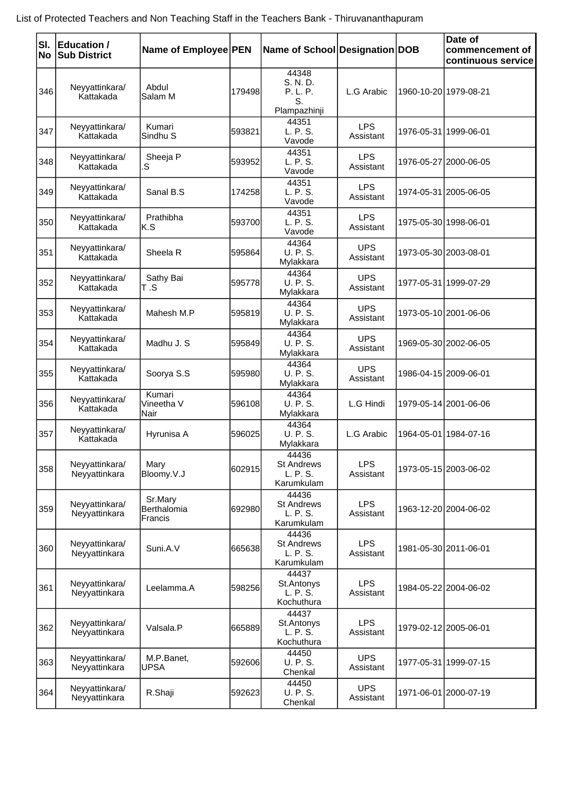| SI.<br>No | <b>Education /</b><br><b>Sub District</b> | Name of Employee PEN              |        | Name of School Designation DOB                       |                         | Date of<br>commencement of<br>continuous service |
|-----------|-------------------------------------------|-----------------------------------|--------|------------------------------------------------------|-------------------------|--------------------------------------------------|
| 346       | Neyyattinkara/<br>Kattakada               | Abdul<br>Salam M                  | 179498 | 44348<br>S. N. D.<br>P. L. P.<br>S.<br>Plampazhinji  | L.G Arabic              | 1960-10-20 1979-08-21                            |
| 347       | Neyyattinkara/<br>Kattakada               | Kumari<br>Sindhu <sub>S</sub>     | 593821 | 44351<br>L. P. S.<br>Vavode                          | <b>LPS</b><br>Assistant | 1976-05-31 1999-06-01                            |
| 348       | Neyyattinkara/<br>Kattakada               | Sheeja P<br>S                     | 593952 | 44351<br>L. P. S.<br>Vavode                          | <b>LPS</b><br>Assistant | 1976-05-27 2000-06-05                            |
| 349       | Neyyattinkara/<br>Kattakada               | Sanal B.S                         | 174258 | 44351<br>L. P. S.<br>Vavode                          | <b>LPS</b><br>Assistant | 1974-05-31 2005-06-05                            |
| 350       | Neyyattinkara/<br>Kattakada               | Prathibha<br>K.S                  | 593700 | 44351<br>L. P. S.<br>Vavode                          | <b>LPS</b><br>Assistant | 1975-05-30 1998-06-01                            |
| 351       | Neyyattinkara/<br>Kattakada               | Sheela R                          | 595864 | 44364<br><b>U. P. S.</b><br>Mylakkara                | <b>UPS</b><br>Assistant | 1973-05-30 2003-08-01                            |
| 352       | Neyyattinkara/<br>Kattakada               | Sathy Bai<br>T .S                 | 595778 | 44364<br><b>U. P. S.</b><br>Mylakkara                | <b>UPS</b><br>Assistant | 1977-05-31 1999-07-29                            |
| 353       | Neyyattinkara/<br>Kattakada               | Mahesh M.P                        | 595819 | 44364<br>U. P. S.<br>Mylakkara                       | <b>UPS</b><br>Assistant | 1973-05-10 2001-06-06                            |
| 354       | Neyyattinkara/<br>Kattakada               | Madhu J. S                        | 595849 | 44364<br><b>U. P. S.</b><br>Mylakkara                | <b>UPS</b><br>Assistant | 1969-05-30 2002-06-05                            |
| 355       | Neyyattinkara/<br>Kattakada               | Soorya S.S                        | 595980 | 44364<br><b>U. P. S.</b><br>Mylakkara                | <b>UPS</b><br>Assistant | 1986-04-15 2009-06-01                            |
| 356       | Neyyattinkara/<br>Kattakada               | Kumari<br>Vineetha V<br>Nair      | 596108 | 44364<br><b>U. P. S.</b><br>Mylakkara                | L.G Hindi               | 1979-05-14 2001-06-06                            |
| 357       | Neyyattinkara/<br>Kattakada               | Hyrunisa A                        | 596025 | 44364<br><b>U. P. S.</b><br>Mylakkara                | L.G Arabic              | 1964-05-01 1984-07-16                            |
| 358       | Neyyattinkara/<br>Neyyattinkara           | Mary<br>Bloomy.V.J                | 602915 | 44436<br><b>St Andrews</b><br>L. P. S.<br>Karumkulam | <b>LPS</b><br>Assistant | 1973-05-15 2003-06-02                            |
| 359       | Neyyattinkara/<br>Neyyattinkara           | Sr.Mary<br>Berthalomia<br>Francis | 692980 | 44436<br><b>St Andrews</b><br>L. P. S.<br>Karumkulam | <b>LPS</b><br>Assistant | 1963-12-20 2004-06-02                            |
| 360       | Neyyattinkara/<br>Neyyattinkara           | Suni.A.V                          | 665638 | 44436<br><b>St Andrews</b><br>L. P. S.<br>Karumkulam | <b>LPS</b><br>Assistant | 1981-05-30 2011-06-01                            |
| 361       | Neyyattinkara/<br>Neyyattinkara           | Leelamma.A                        | 598256 | 44437<br>St.Antonys<br>L. P. S.<br>Kochuthura        | <b>LPS</b><br>Assistant | 1984-05-22 2004-06-02                            |
| 362       | Neyyattinkara/<br>Neyyattinkara           | Valsala.P                         | 665889 | 44437<br>St.Antonys<br>L. P. S.<br>Kochuthura        | <b>LPS</b><br>Assistant | 1979-02-12 2005-06-01                            |
| 363       | Neyyattinkara/<br>Neyyattinkara           | M.P.Banet,<br><b>UPSA</b>         | 592606 | 44450<br>U. P. S.<br>Chenkal                         | <b>UPS</b><br>Assistant | 1977-05-31 1999-07-15                            |
| 364       | Neyyattinkara/<br>Neyyattinkara           | R.Shaji                           | 592623 | 44450<br>U. P. S.<br>Chenkal                         | <b>UPS</b><br>Assistant | 1971-06-01 2000-07-19                            |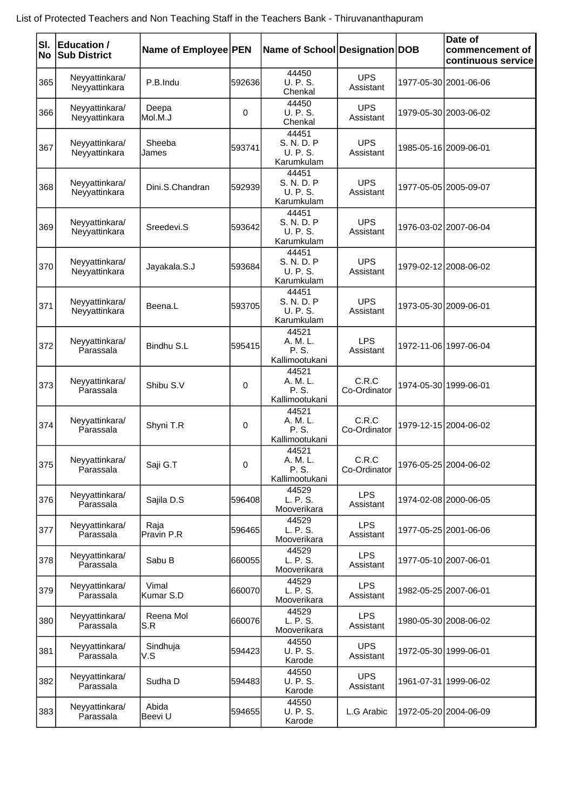| List of Protected Teachers and Non Teaching Staff in the Teachers Bank - Thiruvananthapuram |  |
|---------------------------------------------------------------------------------------------|--|
|---------------------------------------------------------------------------------------------|--|

| lsı. | <b>Education /</b>              | Name of Employee PEN |         | Name of School Designation DOB                |                         | Date of<br>commencement of |
|------|---------------------------------|----------------------|---------|-----------------------------------------------|-------------------------|----------------------------|
| No   | <b>Sub District</b>             |                      |         |                                               |                         | continuous service         |
| 365  | Neyyattinkara/<br>Neyyattinkara | P.B.Indu             | 592636  | 44450<br>U. P. S.<br>Chenkal                  | <b>UPS</b><br>Assistant | 1977-05-30 2001-06-06      |
| 366  | Neyyattinkara/<br>Neyyattinkara | Deepa<br>Mol.M.J     | 0       | 44450<br>U. P. S.<br>Chenkal                  | <b>UPS</b><br>Assistant | 1979-05-30 2003-06-02      |
| 367  | Neyyattinkara/<br>Neyyattinkara | Sheeba<br>James      | 593741  | 44451<br>S. N. D. P<br>U. P. S.<br>Karumkulam | <b>UPS</b><br>Assistant | 1985-05-16 2009-06-01      |
| 368  | Neyyattinkara/<br>Neyyattinkara | Dini.S.Chandran      | 592939  | 44451<br>S. N. D. P<br>U. P. S.<br>Karumkulam | <b>UPS</b><br>Assistant | 1977-05-05 2005-09-07      |
| 369  | Neyyattinkara/<br>Neyyattinkara | Sreedevi.S           | 593642  | 44451<br>S. N. D. P<br>U. P. S.<br>Karumkulam | <b>UPS</b><br>Assistant | 1976-03-02 2007-06-04      |
| 370  | Neyyattinkara/<br>Neyyattinkara | Jayakala.S.J         | 593684  | 44451<br>S. N. D. P<br>U. P. S.<br>Karumkulam | <b>UPS</b><br>Assistant | 1979-02-12 2008-06-02      |
| 371  | Neyyattinkara/<br>Neyyattinkara | Beena.L              | 593705  | 44451<br>S. N. D. P<br>U. P. S.<br>Karumkulam | <b>UPS</b><br>Assistant | 1973-05-30 2009-06-01      |
| 372  | Neyyattinkara/<br>Parassala     | Bindhu S.L           | 595415  | 44521<br>A. M. L.<br>P. S.<br>Kallimootukani  | <b>LPS</b><br>Assistant | 1972-11-06 1997-06-04      |
| 373  | Neyyattinkara/<br>Parassala     | Shibu S.V            | 0       | 44521<br>A. M. L.<br>P. S.<br>Kallimootukani  | C.R.C<br>Co-Ordinator   | 1974-05-30 1999-06-01      |
| 374  | Neyyattinkara/<br>Parassala     | Shyni T.R            | 0       | 44521<br>A. M. L.<br>P. S.<br>Kallimootukani  | C.R.C<br>Co-Ordinator   | 1979-12-15 2004-06-02      |
| 375  | Neyyattinkara/<br>Parassala     | Saji G.T             | 0       | 44521<br>A. M. L.<br>P. S.<br>Kallimootukani  | C.R.C<br>Co-Ordinator   | 1976-05-25 2004-06-02      |
| 376  | Neyyattinkara/<br>Parassala     | Sajila D.S           | 596408  | 44529<br>L. P. S.<br>Mooverikara              | <b>LPS</b><br>Assistant | 1974-02-08 2000-06-05      |
| 377  | Neyyattinkara/<br>Parassala     | Raja<br>Pravin P.R   | 596465  | 44529<br>L. P. S.<br>Mooverikara              | <b>LPS</b><br>Assistant | 1977-05-25 2001-06-06      |
| 378  | Neyyattinkara/<br>Parassala     | Sabu B               | 660055  | 44529<br>L. P. S.<br>Mooverikara              | <b>LPS</b><br>Assistant | 1977-05-10 2007-06-01      |
| 379  | Neyyattinkara/<br>Parassala     | Vimal<br>Kumar S.D   | 660070  | 44529<br>L. P. S.<br>Mooverikara              | <b>LPS</b><br>Assistant | 1982-05-25 2007-06-01      |
| 380  | Neyyattinkara/<br>Parassala     | Reena Mol<br>S.R     | 660076  | 44529<br>L. P. S.<br>Mooverikara              | <b>LPS</b><br>Assistant | 1980-05-30 2008-06-02      |
| 381  | Neyyattinkara/<br>Parassala     | Sindhuja<br>V.S      | 594423  | 44550<br>U. P. S.<br>Karode                   | <b>UPS</b><br>Assistant | 1972-05-30 1999-06-01      |
| 382  | Neyyattinkara/<br>Parassala     | Sudha D              | 5944831 | 44550<br>U. P. S.<br>Karode                   | <b>UPS</b><br>Assistant | 1961-07-31 1999-06-02      |
| 383  | Neyyattinkara/<br>Parassala     | Abida<br>Beevi U     | 594655  | 44550<br>U. P. S.<br>Karode                   | L.G Arabic              | 1972-05-20 2004-06-09      |